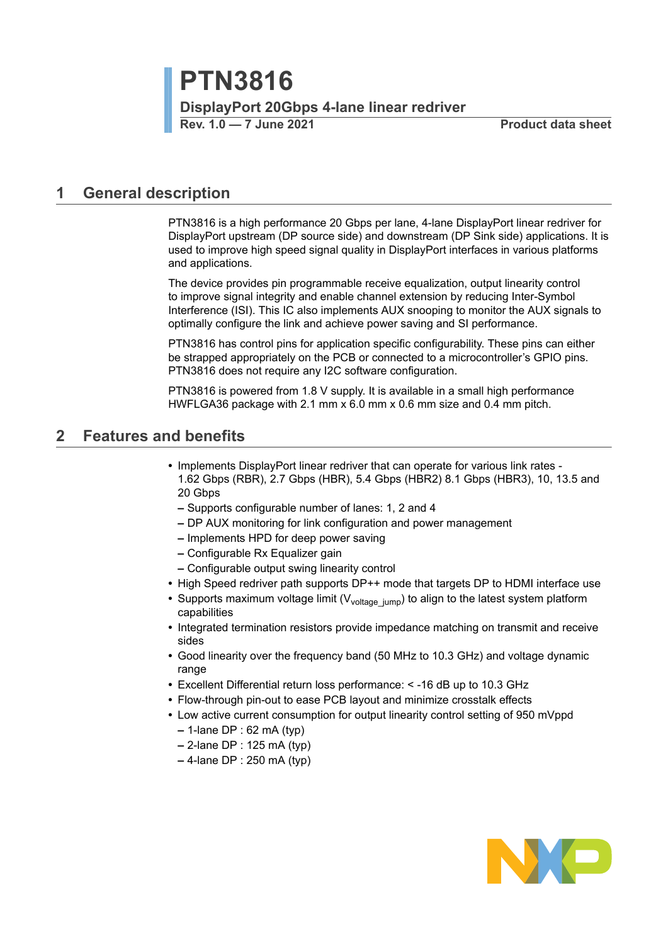**Rev. 1.0 — 7 June 2021 Product data sheet**

## <span id="page-0-0"></span>**1 General description**

PTN3816 is a high performance 20 Gbps per lane, 4-lane DisplayPort linear redriver for DisplayPort upstream (DP source side) and downstream (DP Sink side) applications. It is used to improve high speed signal quality in DisplayPort interfaces in various platforms and applications.

The device provides pin programmable receive equalization, output linearity control to improve signal integrity and enable channel extension by reducing Inter-Symbol Interference (ISI). This IC also implements AUX snooping to monitor the AUX signals to optimally configure the link and achieve power saving and SI performance.

PTN3816 has control pins for application specific configurability. These pins can either be strapped appropriately on the PCB or connected to a microcontroller's GPIO pins. PTN3816 does not require any I2C software configuration.

PTN3816 is powered from 1.8 V supply. It is available in a small high performance HWFLGA36 package with 2.1 mm x 6.0 mm x 0.6 mm size and 0.4 mm pitch.

## <span id="page-0-1"></span>**2 Features and benefits**

- **•** Implements DisplayPort linear redriver that can operate for various link rates 1.62 Gbps (RBR), 2.7 Gbps (HBR), 5.4 Gbps (HBR2) 8.1 Gbps (HBR3), 10, 13.5 and 20 Gbps
	- **–** Supports configurable number of lanes: 1, 2 and 4
	- **–** DP AUX monitoring for link configuration and power management
	- **–** Implements HPD for deep power saving
	- **–** Configurable Rx Equalizer gain
	- **–** Configurable output swing linearity control
- **•** High Speed redriver path supports DP++ mode that targets DP to HDMI interface use
- Supports maximum voltage limit (V<sub>voltage jump) to align to the latest system platform</sub> capabilities
- **•** Integrated termination resistors provide impedance matching on transmit and receive sides
- **•** Good linearity over the frequency band (50 MHz to 10.3 GHz) and voltage dynamic range
- **•** Excellent Differential return loss performance: < -16 dB up to 10.3 GHz
- **•** Flow-through pin-out to ease PCB layout and minimize crosstalk effects
- **•** Low active current consumption for output linearity control setting of 950 mVppd
	- **–** 1-lane DP : 62 mA (typ)
	- **–** 2-lane DP : 125 mA (typ)
	- **–** 4-lane DP : 250 mA (typ)

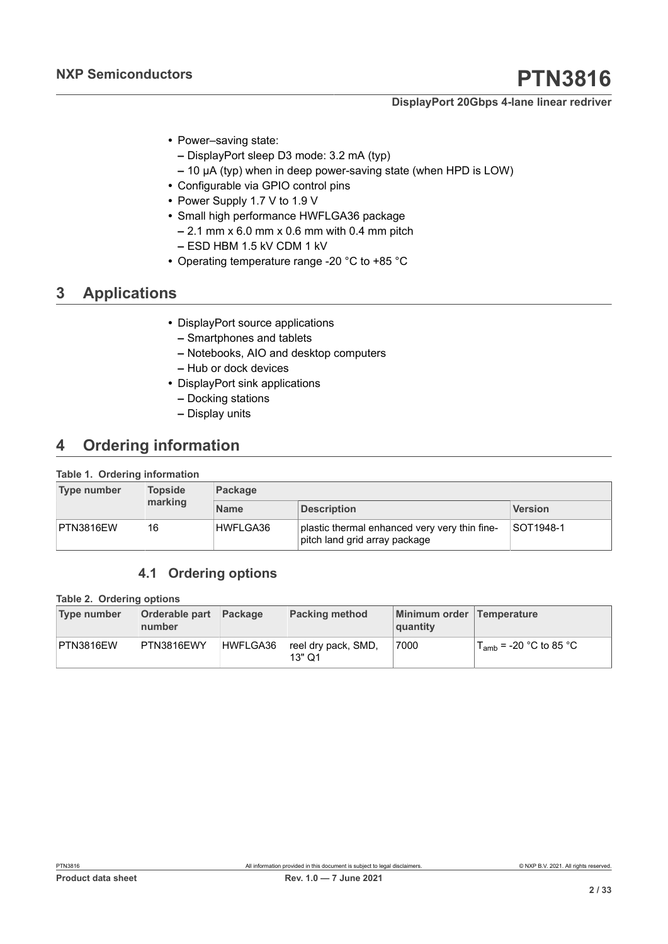- **•** Power–saving state:
	- **–** DisplayPort sleep D3 mode: 3.2 mA (typ)
	- **–** 10 μA (typ) when in deep power-saving state (when HPD is LOW)
- **•** Configurable via GPIO control pins
- **•** Power Supply 1.7 V to 1.9 V
- **•** Small high performance HWFLGA36 package
	- **–** 2.1 mm x 6.0 mm x 0.6 mm with 0.4 mm pitch
	- **–** ESD HBM 1.5 kV CDM 1 kV
- **•** Operating temperature range -20 °C to +85 °C

## <span id="page-1-2"></span>**3 Applications**

- **•** DisplayPort source applications
	- **–** Smartphones and tablets
	- **–** Notebooks, AIO and desktop computers
	- **–** Hub or dock devices
- <span id="page-1-0"></span>**•** DisplayPort sink applications
	- **–** Docking stations
	- **–** Display units

## <span id="page-1-3"></span>**4 Ordering information**

#### **Table 1. Ordering information**

| Type number | <b>Topside</b><br>marking | Package     |                                                                                |           |  |  |  |
|-------------|---------------------------|-------------|--------------------------------------------------------------------------------|-----------|--|--|--|
|             |                           | <b>Name</b> | <b>Description</b>                                                             | Version   |  |  |  |
| PTN3816EW   | 16                        | HWFLGA36    | plastic thermal enhanced very very thin fine-<br>pitch land grid array package | SOT1948-1 |  |  |  |

## <span id="page-1-4"></span><span id="page-1-1"></span>**4.1 Ordering options**

#### **Table 2. Ordering options**

| <b>Type number</b> | <b>Orderable part</b><br>number | <b>Package</b> | <b>Packing method</b>         | Minimum order Temperature<br>quantity |                             |
|--------------------|---------------------------------|----------------|-------------------------------|---------------------------------------|-----------------------------|
| PTN3816EW          | PTN3816EWY                      | HWFLGA36       | reel dry pack, SMD,<br>13" Q1 | 7000                                  | $T_{amb}$ = -20 °C to 85 °C |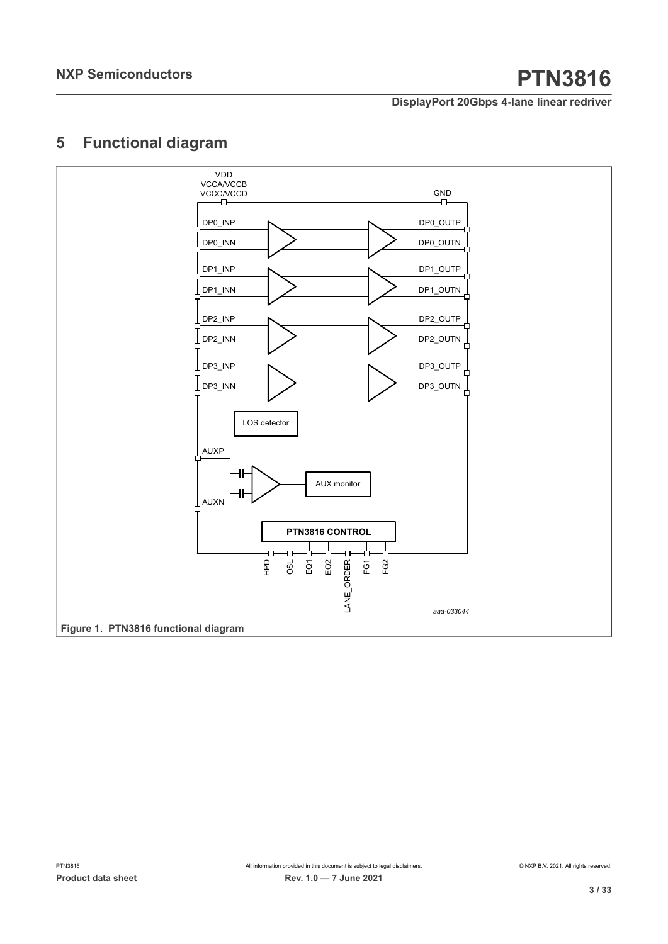<span id="page-2-1"></span>

<span id="page-2-0"></span>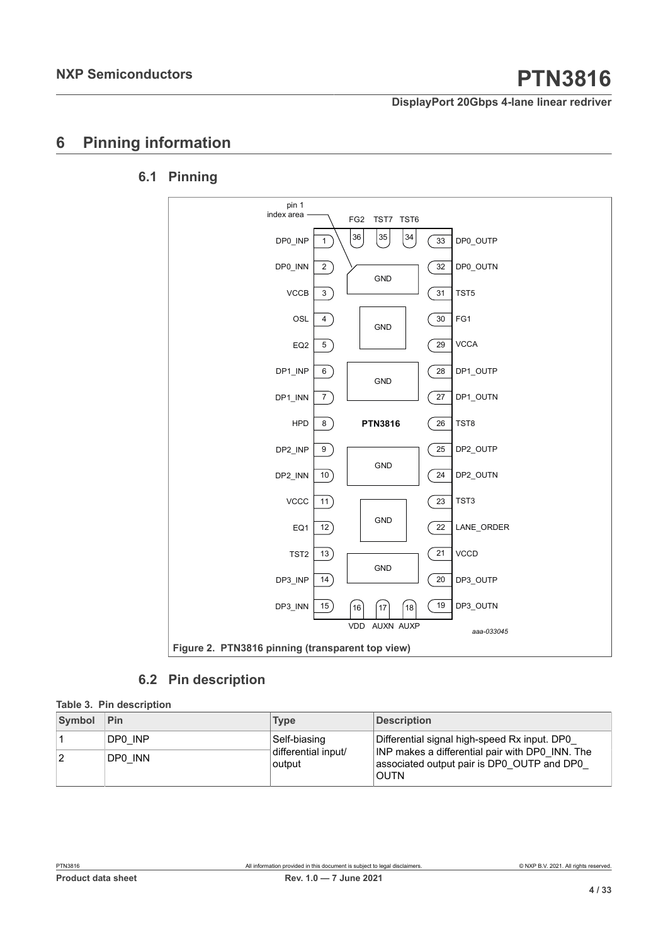## <span id="page-3-2"></span>**6 Pinning information**

## **6.1 Pinning**

<span id="page-3-3"></span><span id="page-3-1"></span>

<span id="page-3-4"></span><span id="page-3-0"></span>**6.2 Pin description**

| Table 3. Pin description |         |                               |                                                                                                              |  |  |  |  |
|--------------------------|---------|-------------------------------|--------------------------------------------------------------------------------------------------------------|--|--|--|--|
| Symbol                   | Pin     | <b>Type</b>                   | <b>Description</b>                                                                                           |  |  |  |  |
|                          | DP0 INP | Self-biasing                  | Differential signal high-speed Rx input. DP0                                                                 |  |  |  |  |
| 2                        | DP0 INN | differential input/<br>output | INP makes a differential pair with DP0 INN. The<br>associated output pair is DP0 OUTP and DP0<br><b>OUTN</b> |  |  |  |  |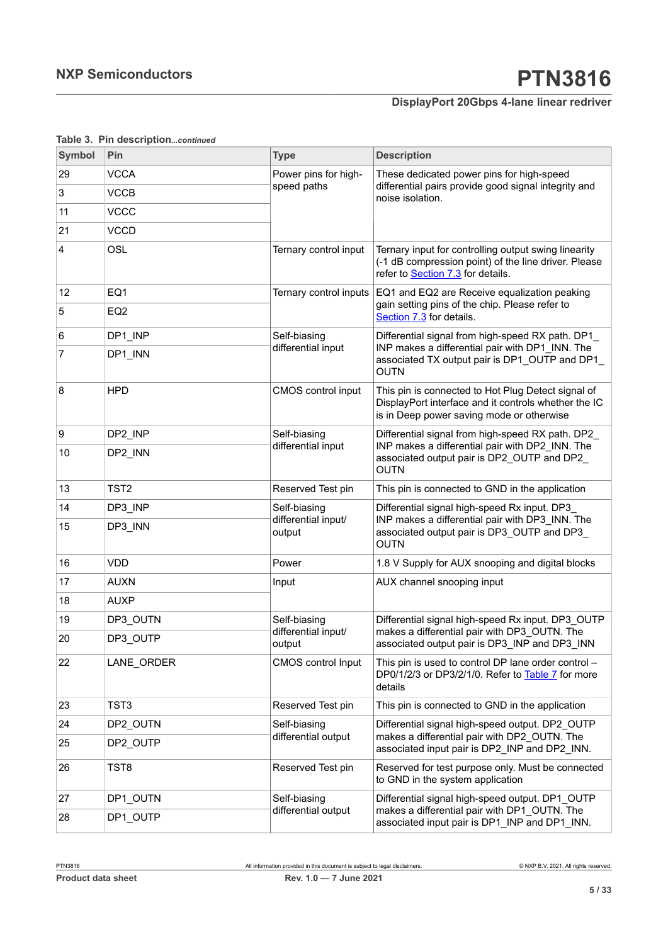| Symbol | Pin              | <b>Type</b>                   | <b>Description</b>                                                                                                                                      |  |  |
|--------|------------------|-------------------------------|---------------------------------------------------------------------------------------------------------------------------------------------------------|--|--|
| 29     | <b>VCCA</b>      | Power pins for high-          | These dedicated power pins for high-speed                                                                                                               |  |  |
| 3      | <b>VCCB</b>      | speed paths                   | differential pairs provide good signal integrity and<br>noise isolation.                                                                                |  |  |
| 11     | <b>VCCC</b>      |                               |                                                                                                                                                         |  |  |
| 21     | <b>VCCD</b>      |                               |                                                                                                                                                         |  |  |
| 4      | OSL              | Ternary control input         | Ternary input for controlling output swing linearity<br>(-1 dB compression point) of the line driver. Please<br>refer to Section 7.3 for details.       |  |  |
| 12     | EQ1              | Ternary control inputs        | EQ1 and EQ2 are Receive equalization peaking                                                                                                            |  |  |
| 5      | EQ <sub>2</sub>  |                               | gain setting pins of the chip. Please refer to<br>Section 7.3 for details.                                                                              |  |  |
| 6      | DP1_INP          | Self-biasing                  | Differential signal from high-speed RX path. DP1                                                                                                        |  |  |
| 7      | DP1 INN          | differential input            | INP makes a differential pair with DP1_INN. The<br>associated TX output pair is DP1_OUTP and DP1_<br><b>OUTN</b>                                        |  |  |
| 8      | <b>HPD</b>       | CMOS control input            | This pin is connected to Hot Plug Detect signal of<br>DisplayPort interface and it controls whether the IC<br>is in Deep power saving mode or otherwise |  |  |
| 9      | DP2_INP          | Self-biasing                  | Differential signal from high-speed RX path. DP2                                                                                                        |  |  |
| 10     | DP2_INN          | differential input            | INP makes a differential pair with DP2_INN. The<br>associated output pair is DP2_OUTP and DP2_<br><b>OUTN</b>                                           |  |  |
| 13     | TST <sub>2</sub> | Reserved Test pin             | This pin is connected to GND in the application                                                                                                         |  |  |
| 14     | DP3_INP          | Self-biasing                  | Differential signal high-speed Rx input. DP3_                                                                                                           |  |  |
| 15     | DP3 INN          | differential input/<br>output | INP makes a differential pair with DP3_INN. The<br>associated output pair is DP3_OUTP and DP3_<br>OUTN                                                  |  |  |
| 16     | <b>VDD</b>       | Power                         | 1.8 V Supply for AUX snooping and digital blocks                                                                                                        |  |  |
| 17     | <b>AUXN</b>      | Input                         | AUX channel snooping input                                                                                                                              |  |  |
| 18     | <b>AUXP</b>      |                               |                                                                                                                                                         |  |  |
| 19     | DP3_OUTN         | Self-biasing                  | Differential signal high-speed Rx input. DP3_OUTP                                                                                                       |  |  |
| 20     | DP3 OUTP         | differential input/<br>output | makes a differential pair with DP3_OUTN. The<br>associated output pair is DP3_INP and DP3_INN                                                           |  |  |
| 22     | LANE_ORDER       | <b>CMOS</b> control Input     | This pin is used to control DP lane order control -<br>DP0/1/2/3 or DP3/2/1/0. Refer to Table 7 for more<br>details                                     |  |  |
| 23     | TST3             | Reserved Test pin             | This pin is connected to GND in the application                                                                                                         |  |  |
| 24     | DP2 OUTN         | Self-biasing                  | Differential signal high-speed output. DP2_OUTP                                                                                                         |  |  |
| 25     | DP2_OUTP         | differential output           | makes a differential pair with DP2 OUTN. The<br>associated input pair is DP2_INP and DP2_INN.                                                           |  |  |
| 26     | TST8             | Reserved Test pin             | Reserved for test purpose only. Must be connected<br>to GND in the system application                                                                   |  |  |
| 27     | DP1 OUTN         | Self-biasing                  | Differential signal high-speed output. DP1_OUTP                                                                                                         |  |  |
| 28     | DP1 OUTP         | differential output           | makes a differential pair with DP1 OUTN. The<br>associated input pair is DP1_INP and DP1_INN.                                                           |  |  |

### **Table 3. Pin description***...continued*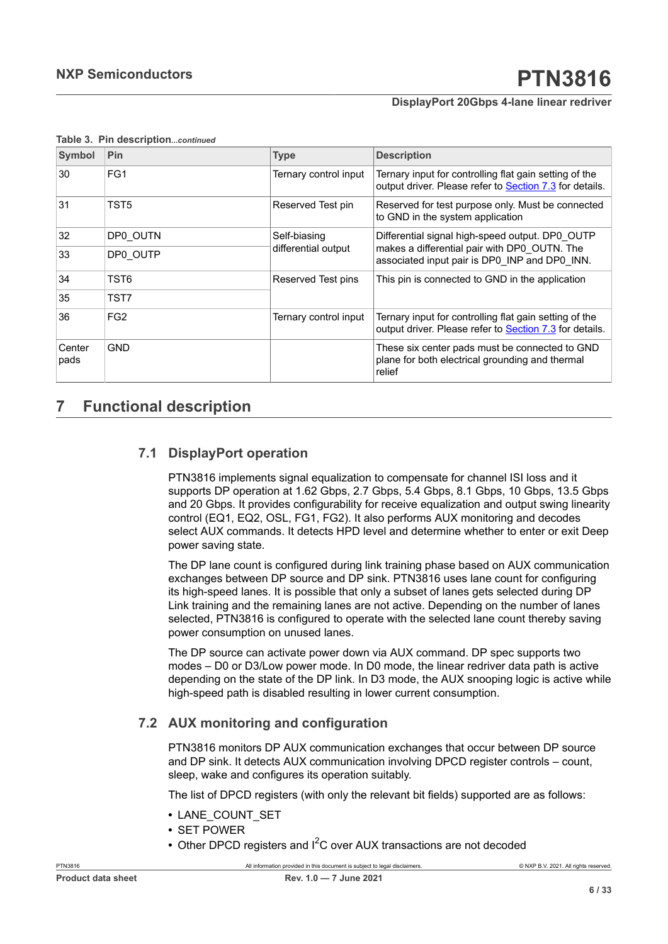| Symbol         | Pin             | <b>Type</b>           | <b>Description</b>                                                                                                |  |
|----------------|-----------------|-----------------------|-------------------------------------------------------------------------------------------------------------------|--|
| 30             | FG1             | Ternary control input | Ternary input for controlling flat gain setting of the<br>output driver. Please refer to Section 7.3 for details. |  |
| 31             | TST5            | Reserved Test pin     | Reserved for test purpose only. Must be connected<br>to GND in the system application                             |  |
| 32             | DP0 OUTN        | Self-biasing          | Differential signal high-speed output. DP0 OUTP                                                                   |  |
| 33             | DP0 OUTP        | differential output   | makes a differential pair with DP0 OUTN. The<br>associated input pair is DP0 INP and DP0 INN.                     |  |
| 34             | TST6            | Reserved Test pins    | This pin is connected to GND in the application                                                                   |  |
| 35             | TST7            |                       |                                                                                                                   |  |
| 36             | FG <sub>2</sub> | Ternary control input | Ternary input for controlling flat gain setting of the<br>output driver. Please refer to Section 7.3 for details. |  |
| Center<br>pads | <b>GND</b>      |                       | These six center pads must be connected to GND<br>plane for both electrical grounding and thermal<br>relief       |  |

#### **Table 3. Pin description***...continued*

## <span id="page-5-0"></span>**7 Functional description**

## **7.1 DisplayPort operation**

<span id="page-5-1"></span>PTN3816 implements signal equalization to compensate for channel ISI loss and it supports DP operation at 1.62 Gbps, 2.7 Gbps, 5.4 Gbps, 8.1 Gbps, 10 Gbps, 13.5 Gbps and 20 Gbps. It provides configurability for receive equalization and output swing linearity control (EQ1, EQ2, OSL, FG1, FG2). It also performs AUX monitoring and decodes select AUX commands. It detects HPD level and determine whether to enter or exit Deep power saving state.

The DP lane count is configured during link training phase based on AUX communication exchanges between DP source and DP sink. PTN3816 uses lane count for configuring its high-speed lanes. It is possible that only a subset of lanes gets selected during DP Link training and the remaining lanes are not active. Depending on the number of lanes selected, PTN3816 is configured to operate with the selected lane count thereby saving power consumption on unused lanes.

The DP source can activate power down via AUX command. DP spec supports two modes – D0 or D3/Low power mode. In D0 mode, the linear redriver data path is active depending on the state of the DP link. In D3 mode, the AUX snooping logic is active while high-speed path is disabled resulting in lower current consumption.

### **7.2 AUX monitoring and configuration**

<span id="page-5-2"></span>PTN3816 monitors DP AUX communication exchanges that occur between DP source and DP sink. It detects AUX communication involving DPCD register controls – count, sleep, wake and configures its operation suitably.

The list of DPCD registers (with only the relevant bit fields) supported are as follows:

- **•** LANE\_COUNT\_SET
- **•** SET POWER
- Other DPCD registers and I<sup>2</sup>C over AUX transactions are not decoded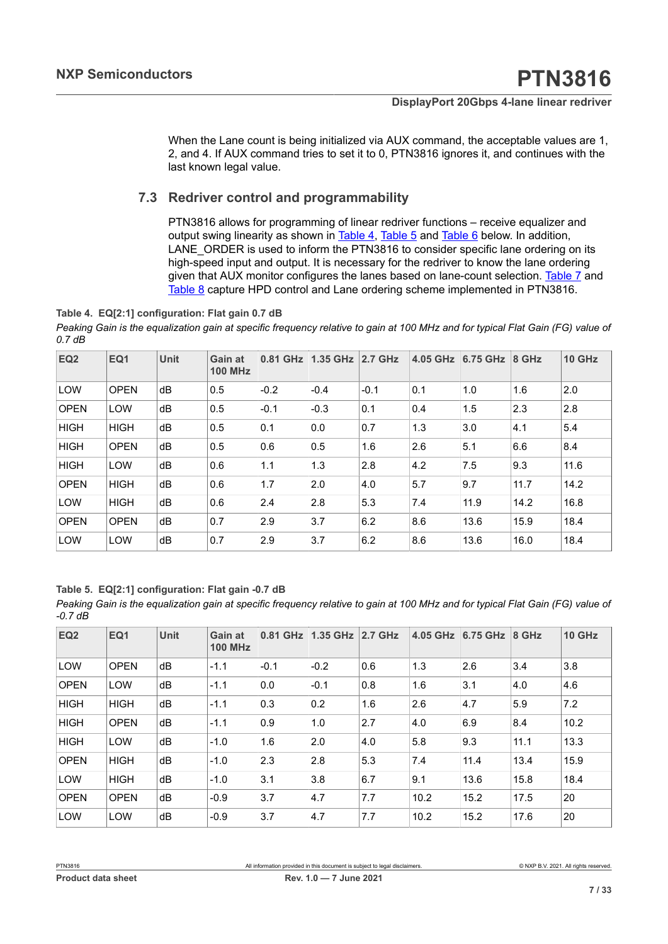When the Lane count is being initialized via AUX command, the acceptable values are 1, 2, and 4. If AUX command tries to set it to 0, PTN3816 ignores it, and continues with the last known legal value.

### **7.3 Redriver control and programmability**

<span id="page-6-1"></span><span id="page-6-0"></span>PTN3816 allows for programming of linear redriver functions – receive equalizer and output swing linearity as shown in [Table](#page-6-1) 4, [Table](#page-6-2) 5 and [Table](#page-7-1) 6 below. In addition, LANE\_ORDER is used to inform the PTN3816 to consider specific lane ordering on its high-speed input and output. It is necessary for the redriver to know the lane ordering given that AUX monitor configures the lanes based on lane-count selection. [Table](#page-7-0) 7 and [Table](#page-7-2) 8 capture HPD control and Lane ordering scheme implemented in PTN3816.

#### **Table 4. EQ[2:1] configuration: Flat gain 0.7 dB**

*Peaking Gain is the equalization gain at specific frequency relative to gain at 100 MHz and for typical Flat Gain (FG) value of 0.7 dB*

| EQ <sub>2</sub> | EQ1         | <b>Unit</b> | <b>Gain at</b><br><b>100 MHz</b> | $0.81$ GHz | 1.35 GHz | $2.7$ GHz | 4.05 GHz | 6.75 GHz | 8 GHz | <b>10 GHz</b> |
|-----------------|-------------|-------------|----------------------------------|------------|----------|-----------|----------|----------|-------|---------------|
| <b>LOW</b>      | <b>OPEN</b> | dB          | 0.5                              | $-0.2$     | $-0.4$   | $-0.1$    | 0.1      | 1.0      | 1.6   | 2.0           |
| <b>OPEN</b>     | <b>LOW</b>  | dB          | 0.5                              | $-0.1$     | $-0.3$   | 0.1       | 0.4      | 1.5      | 2.3   | 2.8           |
| <b>HIGH</b>     | <b>HIGH</b> | dB          | 0.5                              | 0.1        | 0.0      | 0.7       | 1.3      | 3.0      | 4.1   | 5.4           |
| <b>HIGH</b>     | <b>OPEN</b> | dB          | 0.5                              | 0.6        | 0.5      | 1.6       | 2.6      | 5.1      | 6.6   | 8.4           |
| <b>HIGH</b>     | LOW         | dB          | 0.6                              | 1.1        | 1.3      | 2.8       | 4.2      | 7.5      | 9.3   | 11.6          |
| <b>OPEN</b>     | <b>HIGH</b> | dB          | 0.6                              | 1.7        | 2.0      | 4.0       | 5.7      | 9.7      | 11.7  | 14.2          |
| <b>LOW</b>      | <b>HIGH</b> | dB          | 0.6                              | 2.4        | 2.8      | 5.3       | 7.4      | 11.9     | 14.2  | 16.8          |
| <b>OPEN</b>     | <b>OPEN</b> | dB          | 0.7                              | 2.9        | 3.7      | 6.2       | 8.6      | 13.6     | 15.9  | 18.4          |
| LOW             | <b>LOW</b>  | dB          | 0.7                              | 2.9        | 3.7      | 6.2       | 8.6      | 13.6     | 16.0  | 18.4          |

#### <span id="page-6-2"></span>**Table 5. EQ[2:1] configuration: Flat gain -0.7 dB**

*Peaking Gain is the equalization gain at specific frequency relative to gain at 100 MHz and for typical Flat Gain (FG) value of -0.7 dB*

| EQ <sub>2</sub> | EQ1         | <b>Unit</b> | Gain at<br><b>100 MHz</b> | $0.81$ GHz | 1.35 GHz | <b>2.7 GHz</b> | 4.05 GHz | 6.75 GHz | 8 GHz | <b>10 GHz</b> |
|-----------------|-------------|-------------|---------------------------|------------|----------|----------------|----------|----------|-------|---------------|
| <b>LOW</b>      | <b>OPEN</b> | dB          | $-1.1$                    | $-0.1$     | $-0.2$   | 0.6            | 1.3      | 2.6      | 3.4   | 3.8           |
| <b>OPEN</b>     | LOW         | dB          | $-1.1$                    | 0.0        | $-0.1$   | 0.8            | 1.6      | 3.1      | 4.0   | 4.6           |
| <b>HIGH</b>     | <b>HIGH</b> | dB          | $-1.1$                    | 0.3        | 0.2      | 1.6            | 2.6      | 4.7      | 5.9   | 7.2           |
| <b>HIGH</b>     | <b>OPEN</b> | dB          | $-1.1$                    | 0.9        | 1.0      | 2.7            | 4.0      | 6.9      | 8.4   | 10.2          |
| <b>HIGH</b>     | LOW         | dB          | $-1.0$                    | 1.6        | 2.0      | 4.0            | 5.8      | 9.3      | 11.1  | 13.3          |
| <b>OPEN</b>     | <b>HIGH</b> | dB          | $-1.0$                    | 2.3        | 2.8      | 5.3            | 7.4      | 11.4     | 13.4  | 15.9          |
| <b>LOW</b>      | <b>HIGH</b> | dB          | $-1.0$                    | 3.1        | 3.8      | 6.7            | 9.1      | 13.6     | 15.8  | 18.4          |
| <b>OPEN</b>     | <b>OPEN</b> | dB          | $-0.9$                    | 3.7        | 4.7      | 7.7            | 10.2     | 15.2     | 17.5  | 20            |
| <b>LOW</b>      | LOW         | dB          | $-0.9$                    | 3.7        | 4.7      | 7.7            | 10.2     | 15.2     | 17.6  | 20            |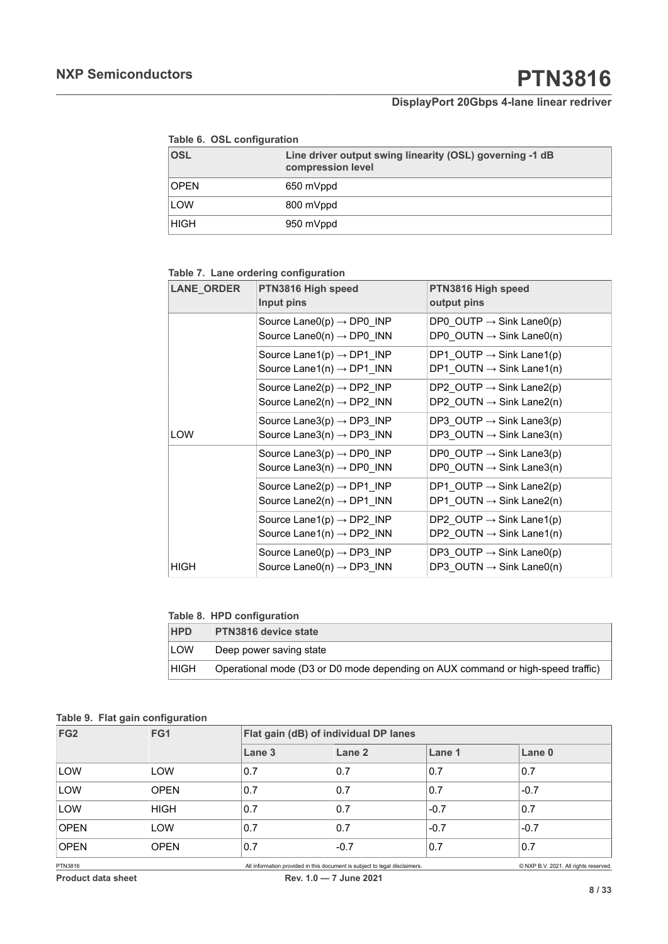<span id="page-7-1"></span>

|  |  | Table 6. OSL configuration |
|--|--|----------------------------|
|--|--|----------------------------|

| OSL  | Line driver output swing linearity (OSL) governing -1 dB<br>compression level |
|------|-------------------------------------------------------------------------------|
| OPEN | 650 mVppd                                                                     |
| LOW  | 800 mVppd                                                                     |
| HIGH | 950 mVppd                                                                     |

#### <span id="page-7-0"></span>**Table 7. Lane ordering configuration**

| <b>LANE_ORDER</b> | PTN3816 High speed<br>Input pins                                                | PTN3816 High speed<br>output pins                                               |
|-------------------|---------------------------------------------------------------------------------|---------------------------------------------------------------------------------|
|                   | Source Lane $O(p) \rightarrow DP0$ INP<br>Source Lane0(n) $\rightarrow$ DP0_INN | DP0 OUTP $\rightarrow$ Sink Lane0(p)<br>DP0 OUTN $\rightarrow$ Sink Lane0(n)    |
|                   | Source Lane1(p) $\rightarrow$ DP1 INP<br>Source Lane1(n) $\rightarrow$ DP1_INN  | DP1 OUTP $\rightarrow$ Sink Lane1(p)<br>DP1 OUTN $\rightarrow$ Sink Lane1(n)    |
|                   | Source Lane2(p) $\rightarrow$ DP2 INP<br>Source Lane2(n) $\rightarrow$ DP2 INN  | DP2 OUTP $\rightarrow$ Sink Lane2(p)<br>DP2 OUTN $\rightarrow$ Sink Lane2(n)    |
| LOW               | Source Lane3(p) $\rightarrow$ DP3 INP<br>Source Lane3(n) $\rightarrow$ DP3 INN  | DP3 OUTP $\rightarrow$ Sink Lane3(p)<br>DP3 OUTN $\rightarrow$ Sink Lane3(n)    |
|                   | Source Lane3(p) $\rightarrow$ DP0 INP<br>Source Lane3(n) $\rightarrow$ DP0 INN  | DP0 OUTP $\rightarrow$ Sink Lane3(p)<br>$DP0_$ OUTN $\rightarrow$ Sink Lane3(n) |
|                   | Source Lane2(p) $\rightarrow$ DP1 INP<br>Source Lane2(n) $\rightarrow$ DP1 INN  | DP1 OUTP $\rightarrow$ Sink Lane2(p)<br>DP1 OUTN $\rightarrow$ Sink Lane2(n)    |
|                   | Source Lane1(p) $\rightarrow$ DP2 INP<br>Source Lane1(n) $\rightarrow$ DP2 INN  | DP2 OUTP $\rightarrow$ Sink Lane1(p)<br>DP2 OUTN $\rightarrow$ Sink Lane1(n)    |
| HIGH              | Source Lane0(p) $\rightarrow$ DP3 INP<br>Source Lane0(n) $\rightarrow$ DP3 INN  | DP3 OUTP $\rightarrow$ Sink Lane0(p)<br>DP3_OUTN $\rightarrow$ Sink Lane0(n)    |

#### <span id="page-7-2"></span>**Table 8. HPD configuration**

<span id="page-7-3"></span>

| <b>HPD</b> | <b>PTN3816 device state</b>                                                     |
|------------|---------------------------------------------------------------------------------|
| LOW        | Deep power saving state                                                         |
| HIGH       | Operational mode (D3 or D0 mode depending on AUX command or high-speed traffic) |

#### **Table 9. Flat gain configuration**

| FG <sub>2</sub> | FG1         |                   | Flat gain (dB) of individual DP lanes                                      |        |                                       |  |  |  |
|-----------------|-------------|-------------------|----------------------------------------------------------------------------|--------|---------------------------------------|--|--|--|
|                 |             | Lane <sub>3</sub> | Lane 2                                                                     | Lane 1 | Lane 0                                |  |  |  |
| LOW             | LOW         | 0.7               | 0.7                                                                        | 0.7    | 0.7                                   |  |  |  |
| LOW             | <b>OPEN</b> | 0.7               | 0.7                                                                        | 0.7    | $-0.7$                                |  |  |  |
| LOW             | <b>HIGH</b> | 0.7               | 0.7                                                                        | $-0.7$ | 0.7                                   |  |  |  |
| <b>OPEN</b>     | LOW         | 0.7               | 0.7                                                                        | $-0.7$ | $-0.7$                                |  |  |  |
| <b>OPEN</b>     | <b>OPEN</b> | 0.7               | $-0.7$                                                                     | 0.7    | 0.7                                   |  |  |  |
| PTN3816         |             |                   | All information provided in this document is subject to legal disclaimers. |        | C NXP B.V. 2021. All rights reserved. |  |  |  |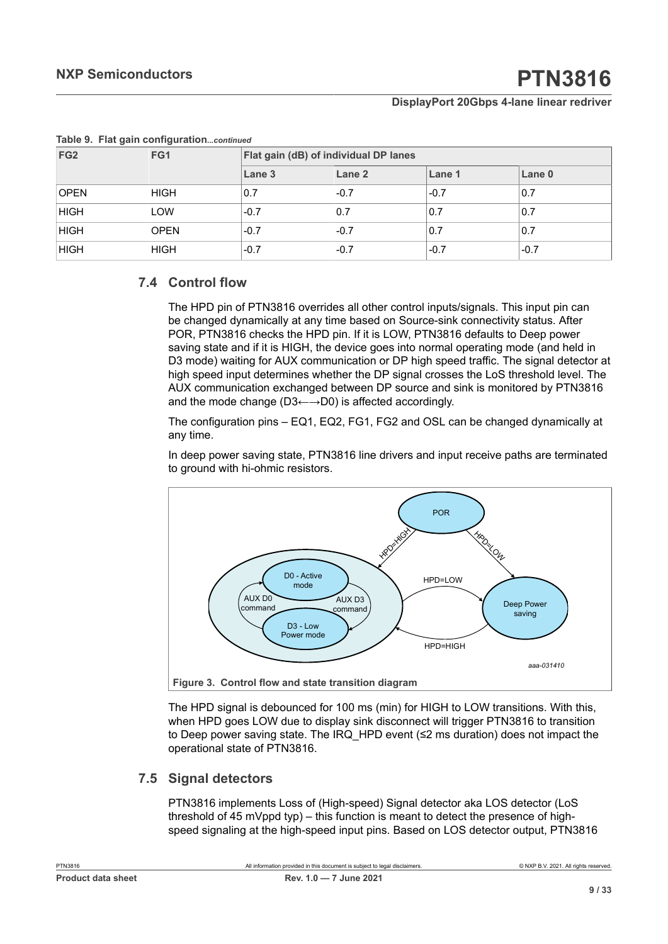| FG <sub>2</sub> | FG1         | Flat gain (dB) of individual DP lanes |        |        |        |  |  |  |
|-----------------|-------------|---------------------------------------|--------|--------|--------|--|--|--|
|                 |             | Lane 3                                | Lane 2 | Lane 1 | Lane 0 |  |  |  |
| <b>OPEN</b>     | <b>HIGH</b> | 0.7                                   | $-0.7$ | $-0.7$ | 0.7    |  |  |  |
| <b>HIGH</b>     | LOW         | $-0.7$                                | 0.7    | 0.7    | 0.7    |  |  |  |
| <b>HIGH</b>     | <b>OPEN</b> | $-0.7$                                | $-0.7$ | 0.7    | 0.7    |  |  |  |
| <b>HIGH</b>     | <b>HIGH</b> | $-0.7$                                | $-0.7$ | $-0.7$ | $-0.7$ |  |  |  |

#### **Table 9. Flat gain configuration***...continued*

## **7.4 Control flow**

<span id="page-8-1"></span>The HPD pin of PTN3816 overrides all other control inputs/signals. This input pin can be changed dynamically at any time based on Source-sink connectivity status. After POR, PTN3816 checks the HPD pin. If it is LOW, PTN3816 defaults to Deep power saving state and if it is HIGH, the device goes into normal operating mode (and held in D3 mode) waiting for AUX communication or DP high speed traffic. The signal detector at high speed input determines whether the DP signal crosses the LoS threshold level. The AUX communication exchanged between DP source and sink is monitored by PTN3816 and the mode change (D3←→D0) is affected accordingly.

The configuration pins – EQ1, EQ2, FG1, FG2 and OSL can be changed dynamically at any time.

In deep power saving state, PTN3816 line drivers and input receive paths are terminated to ground with hi-ohmic resistors.

<span id="page-8-0"></span>

The HPD signal is debounced for 100 ms (min) for HIGH to LOW transitions. With this, when HPD goes LOW due to display sink disconnect will trigger PTN3816 to transition to Deep power saving state. The IRQ\_HPD event (≤2 ms duration) does not impact the operational state of PTN3816.

## **7.5 Signal detectors**

<span id="page-8-2"></span>PTN3816 implements Loss of (High-speed) Signal detector aka LOS detector (LoS threshold of 45 mVppd typ) – this function is meant to detect the presence of highspeed signaling at the high-speed input pins. Based on LOS detector output, PTN3816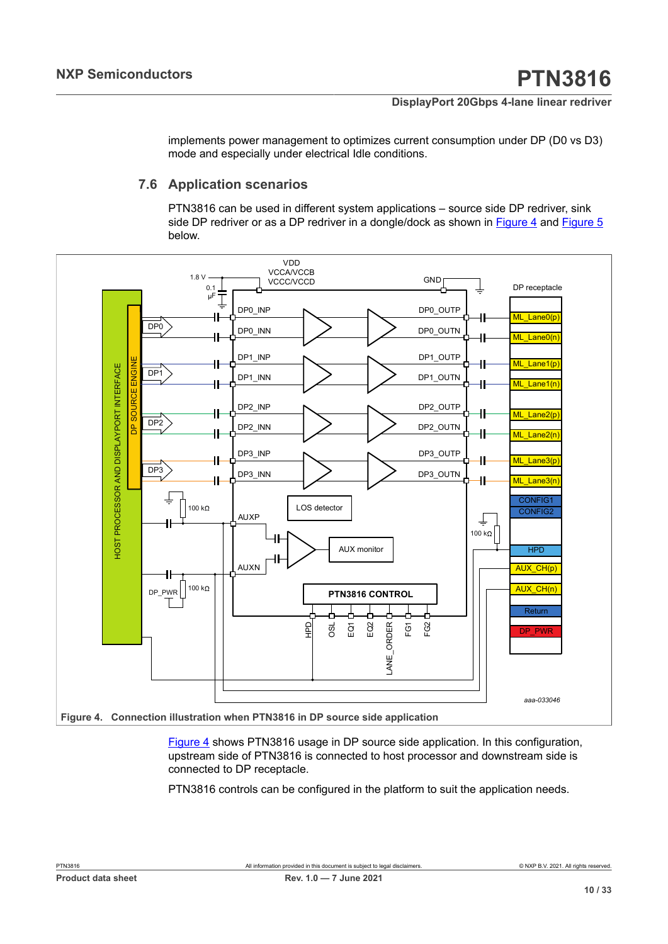implements power management to optimizes current consumption under DP (D0 vs D3) mode and especially under electrical Idle conditions.

## **7.6 Application scenarios**

<span id="page-9-1"></span>PTN3816 can be used in different system applications – source side DP redriver, sink side DP redriver or as a DP redriver in a dongle/dock as shown in  $Figure 4$  and  $Figure 5$ below.

<span id="page-9-0"></span>

[Figure 4](#page-9-0) shows PTN3816 usage in DP source side application. In this configuration, upstream side of PTN3816 is connected to host processor and downstream side is connected to DP receptacle.

PTN3816 controls can be configured in the platform to suit the application needs.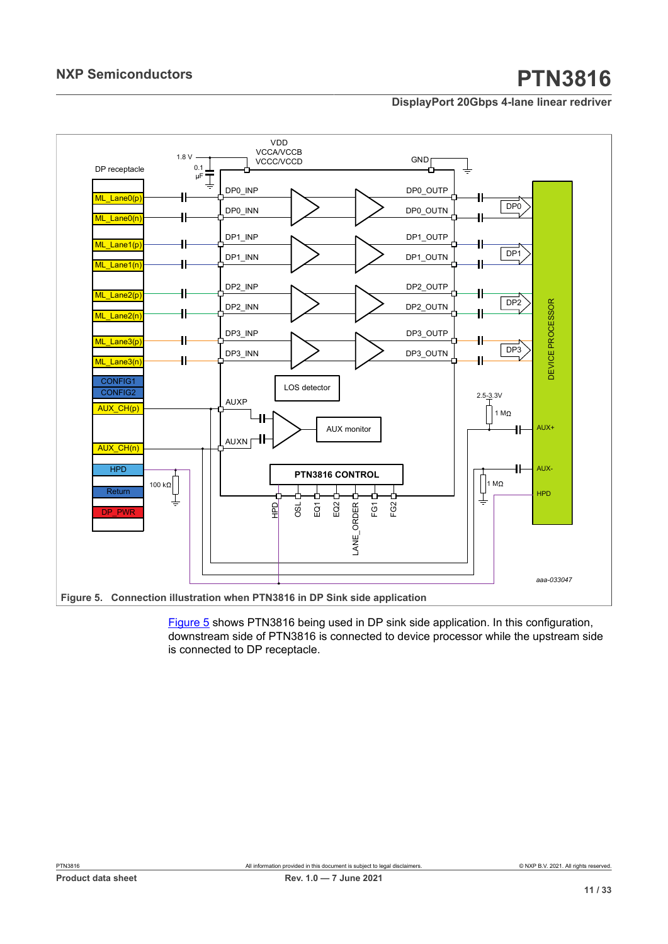<span id="page-10-0"></span>

**Figure 5.  Connection illustration when PTN3816 in DP Sink side application**

[Figure 5](#page-10-0) shows PTN3816 being used in DP sink side application. In this configuration, downstream side of PTN3816 is connected to device processor while the upstream side is connected to DP receptacle.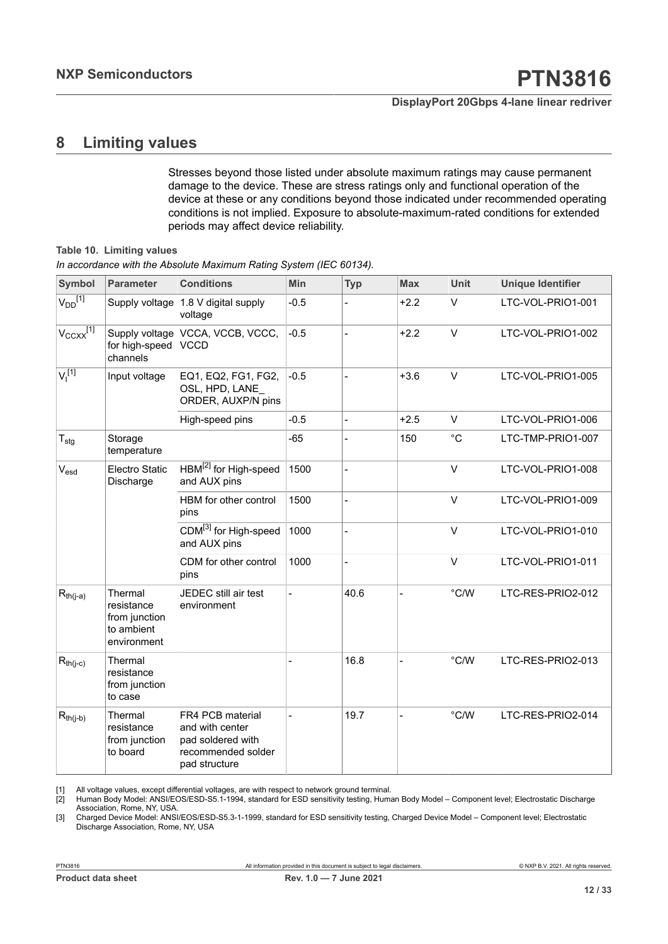## <span id="page-11-4"></span><span id="page-11-1"></span><span id="page-11-0"></span>**8 Limiting values**

<span id="page-11-3"></span><span id="page-11-2"></span>Stresses beyond those listed under absolute maximum ratings may cause permanent damage to the device. These are stress ratings only and functional operation of the device at these or any conditions beyond those indicated under recommended operating conditions is not implied. Exposure to absolute-maximum-rated conditions for extended periods may affect device reliability.

#### **Table 10. Limiting values**

| In accordance with the Absolute Maximum Rating System (IEC 60134). |  |  |  |
|--------------------------------------------------------------------|--|--|--|
|                                                                    |  |  |  |

| <b>Symbol</b>                 | <b>Parameter</b>                                                    | <b>Conditions</b>                                                                               | Min    | <b>Typ</b>     | <b>Max</b>     | <b>Unit</b>   | <b>Unique Identifier</b> |
|-------------------------------|---------------------------------------------------------------------|-------------------------------------------------------------------------------------------------|--------|----------------|----------------|---------------|--------------------------|
| $V_{DD}^{[1]}$                | Supply voltage                                                      | 1.8 V digital supply<br>voltage                                                                 | $-0.5$ |                | $+2.2$         | $\vee$        | LTC-VOL-PRIO1-001        |
| $V_{CCXX}$ <sup>[1]</sup>     | Supply voltage<br>for high-speed<br>channels                        | VCCA, VCCB, VCCC,<br><b>VCCD</b>                                                                | $-0.5$ |                | $+2.2$         | $\vee$        | LTC-VOL-PRIO1-002        |
| V <sub>1</sub> <sup>[1]</sup> | Input voltage                                                       | EQ1, EQ2, FG1, FG2,<br>OSL, HPD, LANE<br>ORDER, AUXP/N pins                                     | $-0.5$ |                | $+3.6$         | $\vee$        | LTC-VOL-PRIO1-005        |
|                               |                                                                     | High-speed pins                                                                                 | $-0.5$ | $\overline{a}$ | $+2.5$         | $\vee$        | LTC-VOL-PRIO1-006        |
| $T_{\text{stg}}$              | Storage<br>temperature                                              |                                                                                                 | $-65$  | $\overline{a}$ | 150            | $^{\circ}C$   | LTC-TMP-PRIO1-007        |
| $V_{esd}$                     | Electro Static<br>Discharge                                         | HBM <sup>[2]</sup> for High-speed<br>and AUX pins                                               | 1500   |                |                | $\vee$        | LTC-VOL-PRIO1-008        |
|                               |                                                                     | HBM for other control<br>pins                                                                   | 1500   |                |                | $\vee$        | LTC-VOL-PRIO1-009        |
|                               |                                                                     | CDM <sup>[3]</sup> for High-speed<br>and AUX pins                                               | 1000   | $\overline{a}$ |                | $\vee$        | LTC-VOL-PRIO1-010        |
|                               |                                                                     | CDM for other control<br>pins                                                                   | 1000   | $\overline{a}$ |                | $\vee$        | LTC-VOL-PRIO1-011        |
| $R_{th(j-a)}$                 | Thermal<br>resistance<br>from junction<br>to ambient<br>environment | JEDEC still air test<br>environment                                                             |        | 40.6           |                | $\degree$ C/W | LTC-RES-PRIO2-012        |
| $R_{th(j-c)}$                 | Thermal<br>resistance<br>from junction<br>to case                   |                                                                                                 |        | 16.8           |                | $\degree$ C/W | LTC-RES-PRIO2-013        |
| $R_{th(j-b)}$                 | Thermal<br>resistance<br>from junction<br>to board                  | FR4 PCB material<br>and with center<br>pad soldered with<br>recommended solder<br>pad structure |        | 19.7           | $\overline{a}$ | $\degree$ C/W | LTC-RES-PRIO2-014        |

[1] All voltage values, except differential voltages, are with respect to network ground terminal.

[2] Human Body Model: ANSI/EOS/ESD-S5.1-1994, standard for ESD sensitivity testing, Human Body Model – Component level; Electrostatic Discharge Association, Rome, NY, USA.

[3] Charged Device Model: ANSI/EOS/ESD-S5.3-1-1999, standard for ESD sensitivity testing, Charged Device Model – Component level; Electrostatic Discharge Association, Rome, NY, USA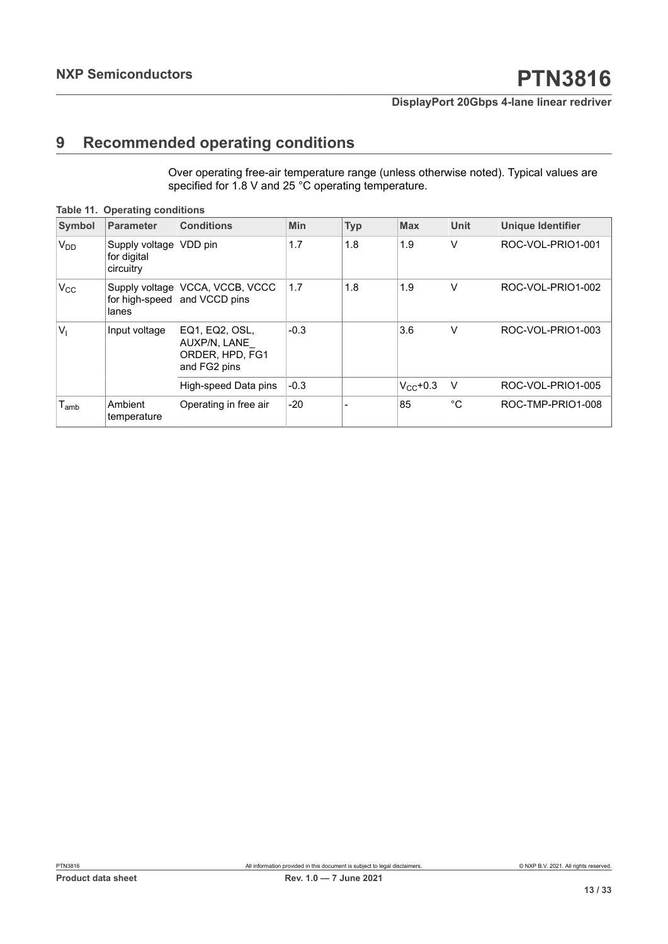## <span id="page-12-1"></span>**9 Recommended operating conditions**

<span id="page-12-0"></span>Over operating free-air temperature range (unless otherwise noted). Typical values are specified for 1.8 V and 25 °C operating temperature.

| <b>Symbol</b>    | <b>Parameter</b>                                     | <b>Conditions</b>                                                 | Min    | <b>Typ</b> | <b>Max</b>    | <b>Unit</b>  | <b>Unique Identifier</b> |
|------------------|------------------------------------------------------|-------------------------------------------------------------------|--------|------------|---------------|--------------|--------------------------|
| $V_{DD}$         | Supply voltage   VDD pin<br>for digital<br>circuitry |                                                                   | 1.7    | 1.8        | 1.9           | $\vee$       | ROC-VOL-PRIO1-001        |
| $V_{\rm CC}$     | for high-speed<br>lanes                              | Supply voltage   VCCA, VCCB, VCCC<br>and VCCD pins                | 1.7    | 1.8        | 1.9           | V            | ROC-VOL-PRIO1-002        |
| $V_1$            | Input voltage                                        | EQ1, EQ2, OSL,<br>AUXP/N, LANE<br>ORDER, HPD, FG1<br>and FG2 pins | $-0.3$ |            | 3.6           | v            | ROC-VOL-PRIO1-003        |
|                  |                                                      | High-speed Data pins                                              | $-0.3$ |            | $V_{CC}$ +0.3 | V            | ROC-VOL-PRIO1-005        |
| l <sub>amb</sub> | Ambient<br>temperature                               | Operating in free air                                             | $-20$  |            | 85            | $^{\circ}$ C | ROC-TMP-PRIO1-008        |

#### **Table 11. Operating conditions**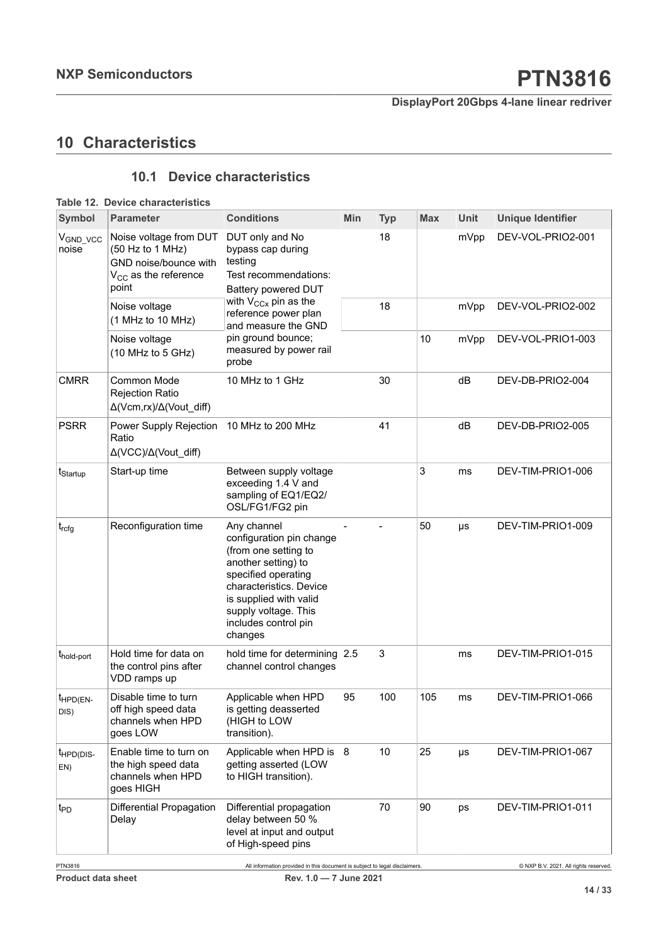## <span id="page-13-1"></span>**10 Characteristics**

## <span id="page-13-2"></span><span id="page-13-0"></span>**10.1 Device characteristics**

| Symbol                       | <b>Parameter</b>                                                                                                                                                                                             | <b>Conditions</b>                                                                                                                                                                                                             | Min | <b>Typ</b> | <b>Max</b> | <b>Unit</b> | <b>Unique Identifier</b> |
|------------------------------|--------------------------------------------------------------------------------------------------------------------------------------------------------------------------------------------------------------|-------------------------------------------------------------------------------------------------------------------------------------------------------------------------------------------------------------------------------|-----|------------|------------|-------------|--------------------------|
| $V_{GND_VCC}$<br>noise       | DUT only and No<br>Noise voltage from DUT<br>(50 Hz to 1 MHz)<br>bypass cap during<br>testing<br>GND noise/bounce with<br>Test recommendations:<br>$V_{CC}$ as the reference<br>point<br>Battery powered DUT |                                                                                                                                                                                                                               |     | 18         |            | mVpp        | DEV-VOL-PRIO2-001        |
|                              | Noise voltage<br>(1 MHz to 10 MHz)                                                                                                                                                                           | with $V_{CCX}$ pin as the<br>reference power plan<br>and measure the GND                                                                                                                                                      |     | 18         |            | mVpp        | DEV-VOL-PRIO2-002        |
|                              | Noise voltage<br>(10 MHz to 5 GHz)                                                                                                                                                                           | pin ground bounce;<br>measured by power rail<br>probe                                                                                                                                                                         |     |            | 10         | mVpp        | DEV-VOL-PRIO1-003        |
| <b>CMRR</b>                  | Common Mode<br><b>Rejection Ratio</b><br>$\Delta$ (Vcm,rx)/ $\Delta$ (Vout_diff)                                                                                                                             | 10 MHz to 1 GHz                                                                                                                                                                                                               |     | 30         |            | dB          | DEV-DB-PRIO2-004         |
| <b>PSRR</b>                  | Power Supply Rejection<br>Ratio<br>$\Delta$ (VCC)/ $\Delta$ (Vout_diff)                                                                                                                                      | 10 MHz to 200 MHz                                                                                                                                                                                                             |     | 41         |            | dB          | DEV-DB-PRIO2-005         |
| t <sub>Startup</sub>         | Start-up time                                                                                                                                                                                                | Between supply voltage<br>exceeding 1.4 V and<br>sampling of EQ1/EQ2/<br>OSL/FG1/FG2 pin                                                                                                                                      |     |            | 3          | ms          | DEV-TIM-PRIO1-006        |
| $t_{\text{rcfg}}$            | Reconfiguration time                                                                                                                                                                                         | Any channel<br>configuration pin change<br>(from one setting to<br>another setting) to<br>specified operating<br>characteristics. Device<br>is supplied with valid<br>supply voltage. This<br>includes control pin<br>changes |     |            | 50         | $\mu s$     | DEV-TIM-PRIO1-009        |
| t <sub>hold-port</sub>       | Hold time for data on<br>the control pins after<br>VDD ramps up                                                                                                                                              | hold time for determining $ 2.5$<br>channel control changes                                                                                                                                                                   |     | 3          |            | ms          | DEV-TIM-PRIO1-015        |
| $t_{HPD(EN-)}$<br>DIS)       | Disable time to turn<br>off high speed data<br>channels when HPD<br>goes LOW                                                                                                                                 | Applicable when HPD<br>is getting deasserted<br>(HIGH to LOW<br>transition).                                                                                                                                                  | 95  | 100        | 105        | ms          | DEV-TIM-PRIO1-066        |
| t <sub>HPD(DIS-</sub><br>EN) | Enable time to turn on<br>the high speed data<br>channels when HPD<br>goes HIGH                                                                                                                              | Applicable when HPD is<br>getting asserted (LOW<br>to HIGH transition).                                                                                                                                                       | 8   | 10         | 25         | $\mu s$     | DEV-TIM-PRIO1-067        |
| t <sub>PD</sub>              | <b>Differential Propagation</b><br>Delay                                                                                                                                                                     | Differential propagation<br>delay between 50 %<br>level at input and output<br>of High-speed pins                                                                                                                             |     | 70         | 90         | ps          | DEV-TIM-PRIO1-011        |

### **Table 12. Device characteristics**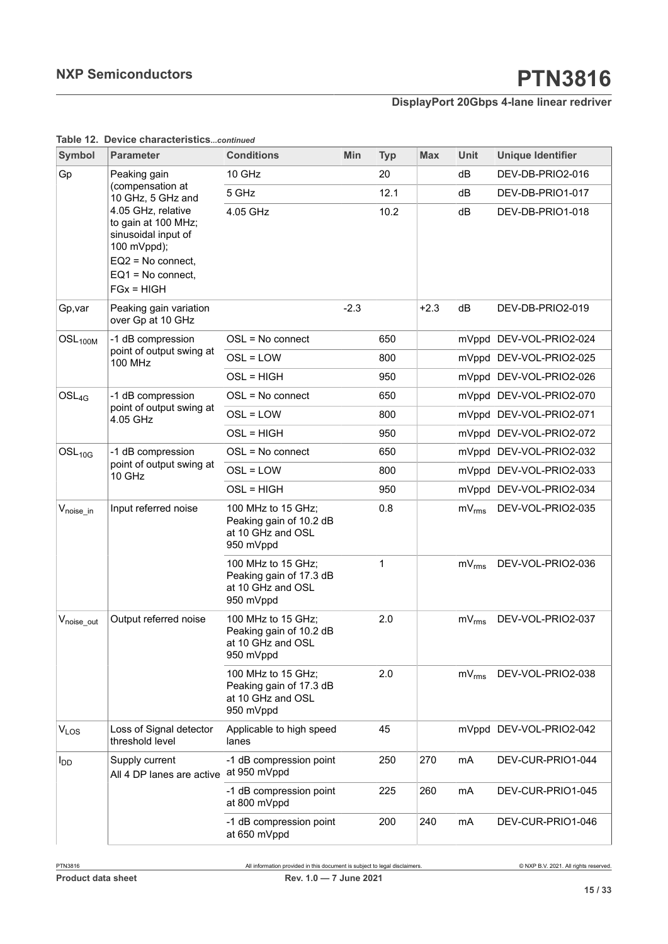| Symbol                  | <b>Parameter</b>                                                                                                                            | <b>Conditions</b>                                                               | Min    | <b>Typ</b> | <b>Max</b> | <b>Unit</b> | <b>Unique Identifier</b> |
|-------------------------|---------------------------------------------------------------------------------------------------------------------------------------------|---------------------------------------------------------------------------------|--------|------------|------------|-------------|--------------------------|
| Gp                      | Peaking gain                                                                                                                                | 10 GHz                                                                          |        | 20         |            | dB          | DEV-DB-PRIO2-016         |
|                         | (compensation at<br>10 GHz, 5 GHz and                                                                                                       | 5 GHz                                                                           |        | 12.1       |            | dB          | DEV-DB-PRIO1-017         |
|                         | 4.05 GHz, relative<br>to gain at 100 MHz;<br>sinusoidal input of<br>100 mVppd);<br>EQ2 = No connect,<br>$EQ1 = No connect,$<br>$FGx = HIGH$ | 4.05 GHz                                                                        |        | 10.2       |            | dB          | DEV-DB-PRIO1-018         |
| Gp,var                  | Peaking gain variation<br>over Gp at 10 GHz                                                                                                 |                                                                                 | $-2.3$ |            | $+2.3$     | dB          | DEV-DB-PRIO2-019         |
| OSL <sub>100M</sub>     | -1 dB compression                                                                                                                           | $OSL = No$ connect                                                              |        | 650        |            | mVppd       | DEV-VOL-PRIO2-024        |
|                         | point of output swing at<br><b>100 MHz</b>                                                                                                  | OSL = LOW                                                                       |        | 800        |            | mVppd       | DEV-VOL-PRIO2-025        |
|                         |                                                                                                                                             | OSL = HIGH                                                                      |        | 950        |            | mVppd       | DEV-VOL-PRIO2-026        |
| $OSL_{4G}$              | -1 dB compression                                                                                                                           | $OSL = No$ connect                                                              |        | 650        |            | mVppd       | DEV-VOL-PRIO2-070        |
|                         | point of output swing at<br>4.05 GHz                                                                                                        | $OSL = LOW$                                                                     |        | 800        |            | mVppd       | DEV-VOL-PRIO2-071        |
|                         |                                                                                                                                             | OSL = HIGH                                                                      |        | 950        |            | mVppd       | DEV-VOL-PRIO2-072        |
| $OSL_{10G}$             | -1 dB compression                                                                                                                           | OSL = No connect                                                                |        | 650        |            | mVppd       | DEV-VOL-PRIO2-032        |
|                         | point of output swing at<br>10 GHz                                                                                                          | OSL = LOW                                                                       |        | 800        |            | mVppd       | DEV-VOL-PRIO2-033        |
|                         |                                                                                                                                             | OSL = HIGH                                                                      |        | 950        |            | mVppd       | DEV-VOL-PRIO2-034        |
| $V_{\text{noise\_in}}$  | Input referred noise                                                                                                                        | 100 MHz to 15 GHz;<br>Peaking gain of 10.2 dB<br>at 10 GHz and OSL<br>950 mVppd |        | 0.8        |            | $mV_{rms}$  | DEV-VOL-PRIO2-035        |
|                         |                                                                                                                                             | 100 MHz to 15 GHz;<br>Peaking gain of 17.3 dB<br>at 10 GHz and OSL<br>950 mVppd |        | 1          |            | $mV_{rms}$  | DEV-VOL-PRIO2-036        |
| $V_{\text{noise\_out}}$ | Output referred noise                                                                                                                       | 100 MHz to 15 GHz;<br>Peaking gain of 10.2 dB<br>at 10 GHz and OSL<br>950 mVppd |        | 2.0        |            | $mV_{rms}$  | DEV-VOL-PRIO2-037        |
|                         |                                                                                                                                             | 100 MHz to 15 GHz;<br>Peaking gain of 17.3 dB<br>at 10 GHz and OSL<br>950 mVppd |        | 2.0        |            | $mV_{rms}$  | DEV-VOL-PRIO2-038        |
| VLOS                    | Loss of Signal detector<br>threshold level                                                                                                  | Applicable to high speed<br>lanes                                               |        | 45         |            | mVppd       | DEV-VOL-PRIO2-042        |
| l <sub>DD</sub>         | Supply current<br>All 4 DP lanes are active   at 950 mVppd                                                                                  | -1 dB compression point                                                         |        | 250        | 270        | mA          | DEV-CUR-PRIO1-044        |
|                         |                                                                                                                                             | -1 dB compression point<br>at 800 mVppd                                         |        | 225        | 260        | mA          | DEV-CUR-PRIO1-045        |
|                         |                                                                                                                                             | -1 dB compression point<br>at 650 mVppd                                         |        | 200        | 240        | mA          | DEV-CUR-PRIO1-046        |

#### **Table 12. Device characteristics***...continued*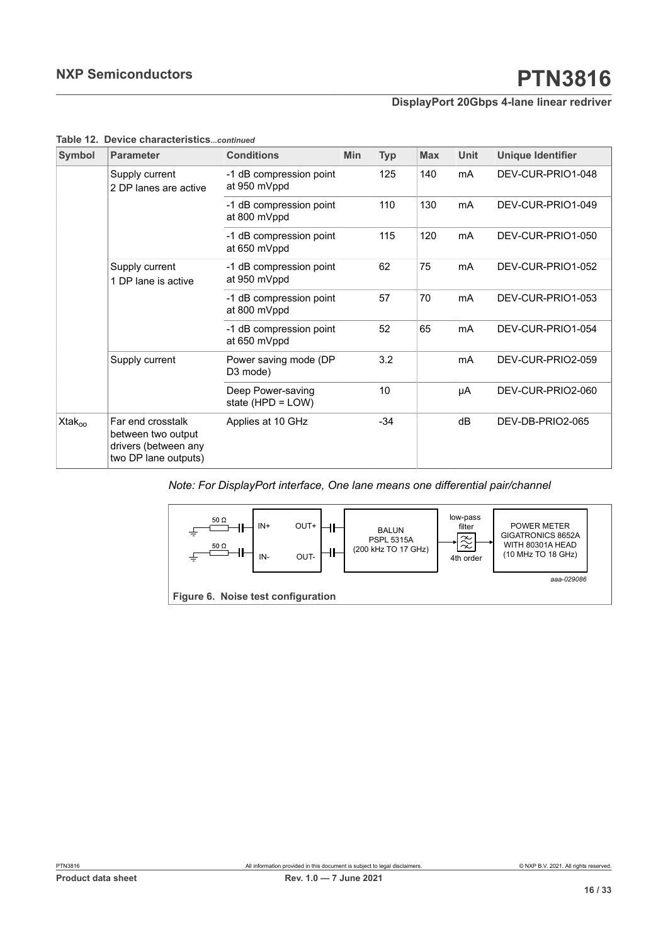| Symbol                | <b>Parameter</b>                                                                        | <b>Conditions</b>                       | <b>Min</b> | <b>Typ</b> | <b>Max</b> | <b>Unit</b> | <b>Unique Identifier</b> |
|-----------------------|-----------------------------------------------------------------------------------------|-----------------------------------------|------------|------------|------------|-------------|--------------------------|
|                       | Supply current<br>2 DP lanes are active                                                 | -1 dB compression point<br>at 950 mVppd |            | 125        | 140        | mA          | DEV-CUR-PRIO1-048        |
|                       |                                                                                         | -1 dB compression point<br>at 800 mVppd |            | 110        | 130        | mA          | DEV-CUR-PRIO1-049        |
|                       |                                                                                         | -1 dB compression point<br>at 650 mVppd |            | 115        | 120        | mA          | DEV-CUR-PRIO1-050        |
|                       | Supply current<br>1 DP lane is active                                                   | -1 dB compression point<br>at 950 mVppd |            | 62         | 75         | mA          | DEV-CUR-PRIO1-052        |
|                       |                                                                                         | -1 dB compression point<br>at 800 mVppd |            | 57         | 70         | mA          | DEV-CUR-PRIO1-053        |
|                       |                                                                                         | -1 dB compression point<br>at 650 mVppd |            | 52         | 65         | mA          | DEV-CUR-PRIO1-054        |
|                       | Supply current                                                                          | Power saving mode (DP<br>D3 mode)       |            | 3.2        |            | mA          | DEV-CUR-PRIO2-059        |
|                       |                                                                                         | Deep Power-saving<br>state (HPD = LOW)  |            | 10         |            | μA          | DEV-CUR-PRIO2-060        |
| $X$ tak <sub>oo</sub> | Far end crosstalk<br>between two output<br>drivers (between any<br>two DP lane outputs) | Applies at 10 GHz                       |            | $-34$      |            | dB          | DEV-DB-PRIO2-065         |

#### **Table 12. Device characteristics***...continued*

### *Note: For DisplayPort interface, One lane means one differential pair/channel*

<span id="page-15-0"></span>

**Figure 6. Noise test configuration**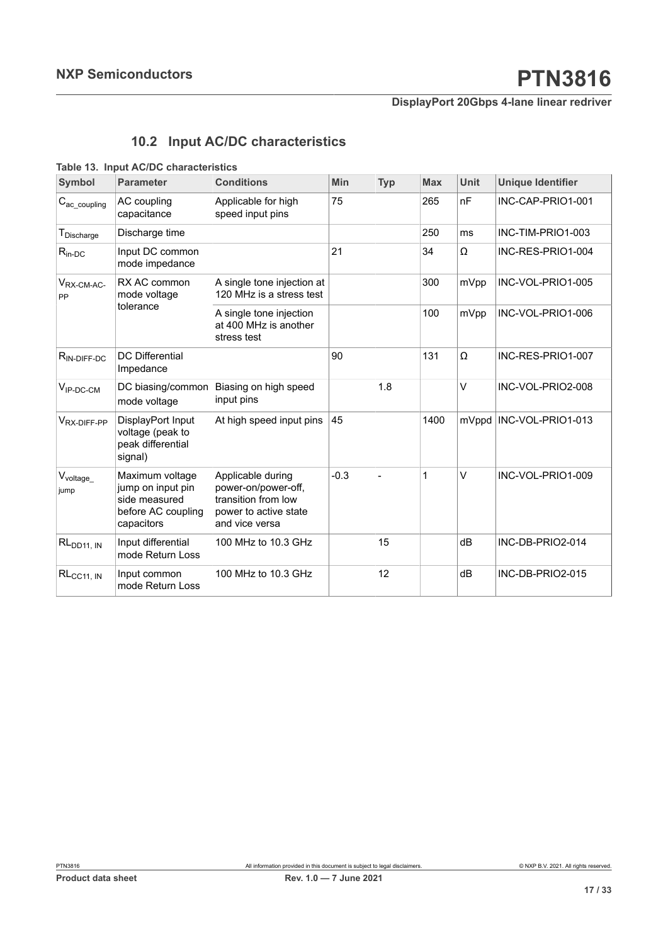## <span id="page-16-1"></span><span id="page-16-0"></span>**10.2 Input AC/DC characteristics**

|  |  | Table 13. Input AC/DC characteristics |
|--|--|---------------------------------------|
|--|--|---------------------------------------|

| <b>Symbol</b>                      | <b>Parameter</b>                                                                          | <b>Conditions</b>                                                                                          | Min    | <b>Typ</b> | <b>Max</b> | <b>Unit</b> | <b>Unique Identifier</b> |
|------------------------------------|-------------------------------------------------------------------------------------------|------------------------------------------------------------------------------------------------------------|--------|------------|------------|-------------|--------------------------|
| $C_{\text{ac\_coupling}}$          | AC coupling<br>capacitance                                                                | Applicable for high<br>speed input pins                                                                    | 75     |            | 265        | nF          | INC-CAP-PRIO1-001        |
| ${\mathsf T}_{\mathsf{Discharge}}$ | Discharge time                                                                            |                                                                                                            |        |            | 250        | ms          | INC-TIM-PRIO1-003        |
| $R_{in-DC}$                        | Input DC common<br>mode impedance                                                         |                                                                                                            | 21     |            | 34         | Ω           | INC-RES-PRIO1-004        |
| $V_{RX-CM-AC}$<br>PP               | RX AC common<br>mode voltage                                                              | A single tone injection at<br>120 MHz is a stress test                                                     |        |            | 300        | mVpp        | INC-VOL-PRIO1-005        |
|                                    | tolerance                                                                                 | A single tone injection<br>at 400 MHz is another<br>stress test                                            |        |            | 100        | mVpp        | INC-VOL-PRIO1-006        |
| $R_{IN-DIFF-DC}$                   | <b>DC</b> Differential<br>Impedance                                                       |                                                                                                            | 90     |            | 131        | Ω           | INC-RES-PRIO1-007        |
| $V_{IP-DC-CM}$                     | DC biasing/common<br>mode voltage                                                         | Biasing on high speed<br>input pins                                                                        |        | 1.8        |            | V           | INC-VOL-PRIO2-008        |
| V <sub>RX-DIFF-PP</sub>            | DisplayPort Input<br>voltage (peak to<br>peak differential<br>signal)                     | At high speed input pins                                                                                   | 45     |            | 1400       |             | mVppd INC-VOL-PRIO1-013  |
| $V_{voltage_\_}$<br>jump           | Maximum voltage<br>jump on input pin<br>side measured<br>before AC coupling<br>capacitors | Applicable during<br>power-on/power-off,<br>transition from low<br>power to active state<br>and vice versa | $-0.3$ |            | 1          | V           | INC-VOL-PRIO1-009        |
| RL <sub>DD11, IN</sub>             | Input differential<br>mode Return Loss                                                    | 100 MHz to 10.3 GHz                                                                                        |        | 15         |            | dВ          | INC-DB-PRIO2-014         |
| $RL_{CC11, IN}$                    | Input common<br>mode Return Loss                                                          | 100 MHz to 10.3 GHz                                                                                        |        | 12         |            | dB          | INC-DB-PRIO2-015         |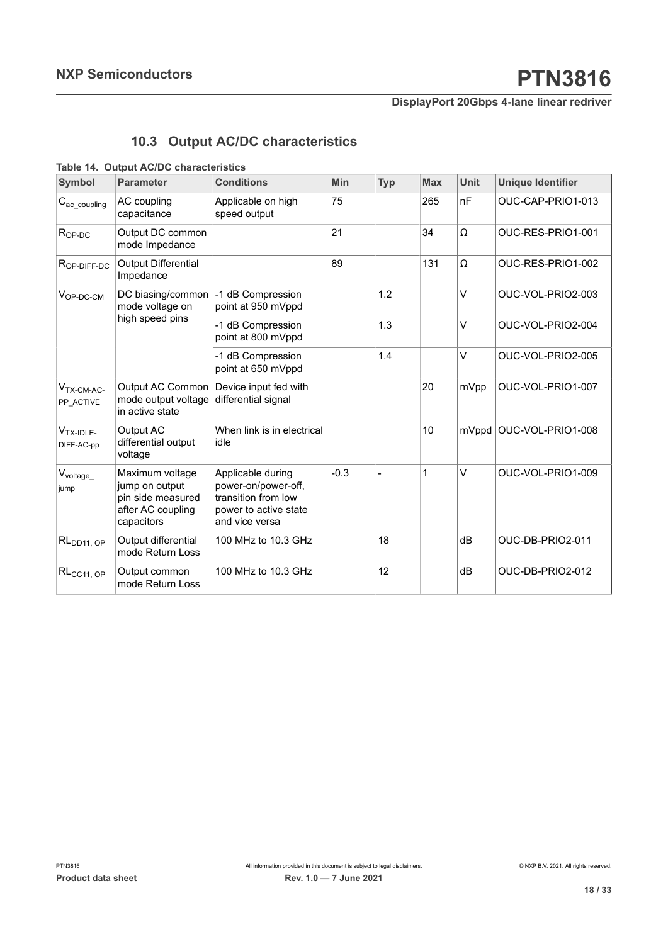## <span id="page-17-1"></span><span id="page-17-0"></span>**10.3 Output AC/DC characteristics**

#### **Table 14. Output AC/DC characteristics**

| <b>Symbol</b>             | <b>Parameter</b>                                                                          | <b>Conditions</b>                                                                                          | Min    | <b>Typ</b> | <b>Max</b>  | <b>Unit</b> | <b>Unique Identifier</b>  |
|---------------------------|-------------------------------------------------------------------------------------------|------------------------------------------------------------------------------------------------------------|--------|------------|-------------|-------------|---------------------------|
| $C_{\text{ac\_coupling}}$ | AC coupling<br>capacitance                                                                | Applicable on high<br>speed output                                                                         | 75     |            | 265         | nF          | OUC-CAP-PRIO1-013         |
| $R_{OP-DC}$               | Output DC common<br>mode Impedance                                                        |                                                                                                            | 21     |            | 34          | Ω           | OUC-RES-PRIO1-001         |
| $R_{OP-DIFF-DC}$          | <b>Output Differential</b><br>Impedance                                                   |                                                                                                            | 89     |            | 131         | Ω           | OUC-RES-PRIO1-002         |
| $V_{OP-DC-CM}$            | DC biasing/common<br>mode voltage on                                                      | -1 dB Compression<br>point at 950 mVppd                                                                    |        | 1.2        |             | $\vee$      | OUC-VOL-PRIO2-003         |
|                           | high speed pins                                                                           | -1 dB Compression<br>point at 800 mVppd                                                                    |        | 1.3        |             | V           | OUC-VOL-PRIO2-004         |
|                           |                                                                                           | -1 dB Compression<br>point at 650 mVppd                                                                    |        | 1.4        |             | V           | OUC-VOL-PRIO2-005         |
| $VTX-CM-AC-$<br>PP ACTIVE | Output AC Common<br>mode output voltage<br>in active state                                | Device input fed with<br>differential signal                                                               |        |            | 20          | mVpp        | OUC-VOL-PRIO1-007         |
| $VTX-IDLE$<br>DIFF-AC-pp  | Output AC<br>differential output<br>voltage                                               | When link is in electrical<br>idle                                                                         |        |            | 10          |             | mVppd   OUC-VOL-PRIO1-008 |
| $V_{voltage}$<br>jump     | Maximum voltage<br>jump on output<br>pin side measured<br>after AC coupling<br>capacitors | Applicable during<br>power-on/power-off,<br>transition from low<br>power to active state<br>and vice versa | $-0.3$ |            | $\mathbf 1$ | $\vee$      | OUC-VOL-PRIO1-009         |
| RL <sub>DD11</sub> , OP   | Output differential<br>mode Return Loss                                                   | 100 MHz to 10.3 GHz                                                                                        |        | 18         |             | dB          | OUC-DB-PRIO2-011          |
| RL <sub>CC11, OP</sub>    | Output common<br>mode Return Loss                                                         | 100 MHz to 10.3 GHz                                                                                        |        | 12         |             | dB          | OUC-DB-PRIO2-012          |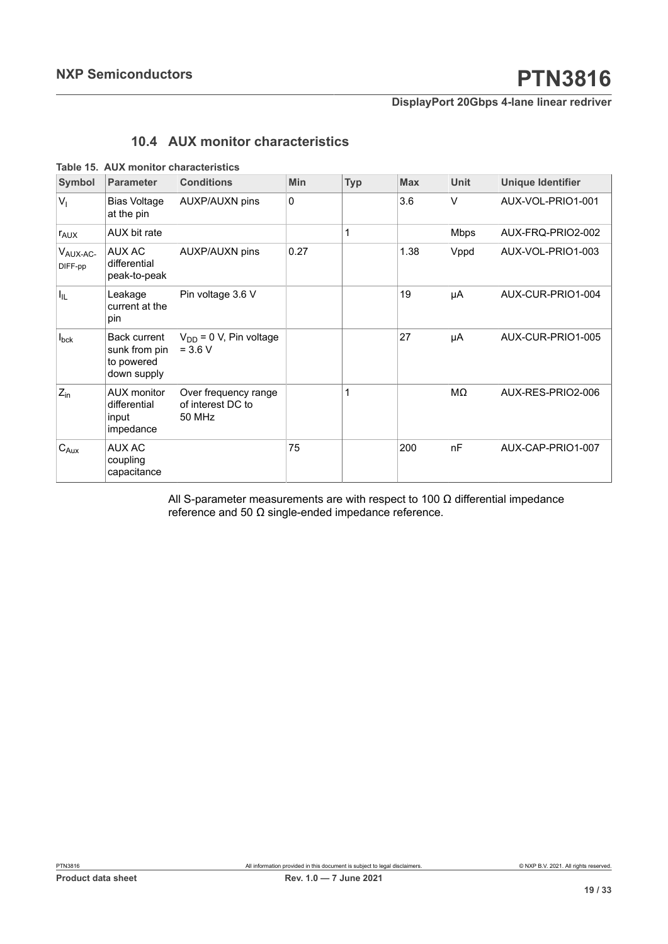## <span id="page-18-1"></span><span id="page-18-0"></span>**10.4 AUX monitor characteristics**

|  |  |  | Table 15. AUX monitor characteristics |
|--|--|--|---------------------------------------|
|--|--|--|---------------------------------------|

| <b>Symbol</b>                   | <b>Parameter</b>                                                  | <b>Conditions</b>                                   | <b>Min</b> | <b>Typ</b> | <b>Max</b> | <b>Unit</b> | <b>Unique Identifier</b> |
|---------------------------------|-------------------------------------------------------------------|-----------------------------------------------------|------------|------------|------------|-------------|--------------------------|
| V <sub>1</sub>                  | <b>Bias Voltage</b><br>at the pin                                 | AUXP/AUXN pins                                      | $\Omega$   |            | 3.6        | $\vee$      | AUX-VOL-PRIO1-001        |
| <b>TAUX</b>                     | AUX bit rate                                                      |                                                     |            | 1          |            | <b>Mbps</b> | AUX-FRQ-PRIO2-002        |
| V <sub>AUX-AC-</sub><br>DIFF-pp | AUX AC<br>differential<br>peak-to-peak                            | <b>AUXP/AUXN pins</b>                               | 0.27       |            | 1.38       | Vppd        | AUX-VOL-PRIO1-003        |
| $I_{\rm IL}$                    | Leakage<br>current at the<br>pin                                  | Pin voltage 3.6 V                                   |            |            | 19         | μA          | AUX-CUR-PRIO1-004        |
| $I_{\text{bck}}$                | <b>Back current</b><br>sunk from pin<br>to powered<br>down supply | $V_{DD}$ = 0 V, Pin voltage<br>$= 3.6 V$            |            |            | 27         | μA          | AUX-CUR-PRIO1-005        |
| $Z_{\text{in}}$                 | <b>AUX</b> monitor<br>differential<br>input<br>impedance          | Over frequency range<br>of interest DC to<br>50 MHz |            | 1          |            | MΩ          | AUX-RES-PRIO2-006        |
| $C_{Aux}$                       | <b>AUX AC</b><br>coupling<br>capacitance                          |                                                     | 75         |            | 200        | nF          | AUX-CAP-PRIO1-007        |

All S-parameter measurements are with respect to 100  $\Omega$  differential impedance reference and 50 Ω single-ended impedance reference.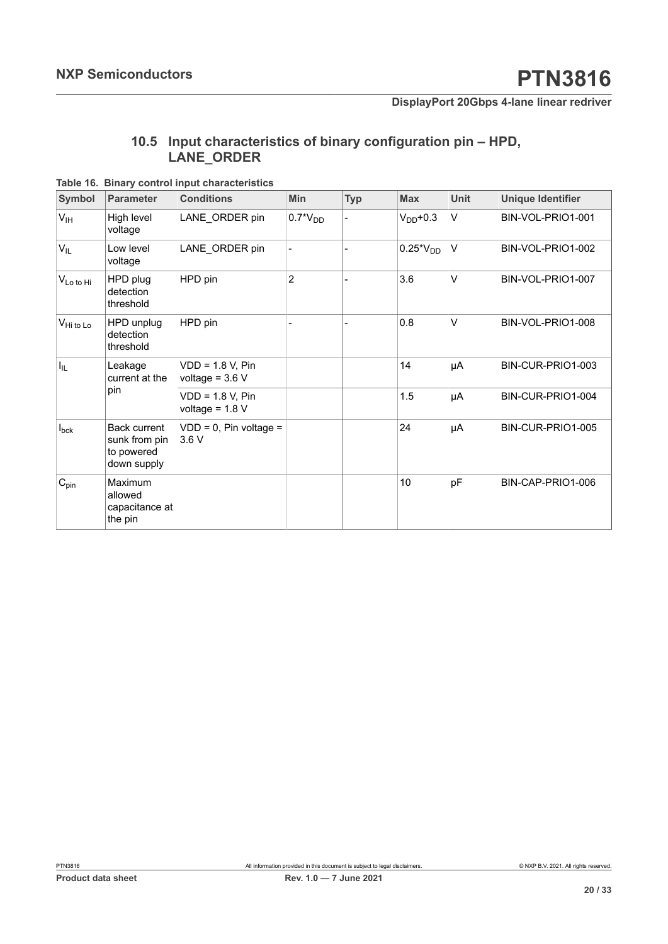## <span id="page-19-1"></span><span id="page-19-0"></span>**10.5 Input characteristics of binary configuration pin – HPD, LANE\_ORDER**

**Table 16. Binary control input characteristics**

| Symbol                | <b>Parameter</b>                                                  | <b>Conditions</b>                       | Min            | <b>Typ</b> | <b>Max</b>    | <b>Unit</b> | <b>Unique Identifier</b> |
|-----------------------|-------------------------------------------------------------------|-----------------------------------------|----------------|------------|---------------|-------------|--------------------------|
| V <sub>IH</sub>       | High level<br>voltage                                             | LANE_ORDER pin                          | $0.7^*V_{DD}$  |            | $V_{DD}$ +0.3 | $\vee$      | BIN-VOL-PRIO1-001        |
| $V_{IL}$              | Low level<br>voltage                                              | LANE_ORDER pin                          |                |            | $0.25*V_{DD}$ | $\vee$      | BIN-VOL-PRIO1-002        |
| VLo to Hi             | HPD plug<br>detection<br>threshold                                | HPD pin                                 | $\overline{2}$ |            | 3.6           | $\vee$      | BIN-VOL-PRIO1-007        |
| $V_{\text{Hi to Lo}}$ | HPD unplug<br>detection<br>threshold                              | HPD pin                                 |                |            | 0.8           | $\vee$      | BIN-VOL-PRIO1-008        |
| I <sub>IL</sub>       | Leakage<br>current at the<br>pin                                  | $VDD = 1.8 V, Pin$<br>voltage = $3.6 V$ |                |            | 14            | μA          | BIN-CUR-PRIO1-003        |
|                       |                                                                   | $VDD = 1.8 V, Pin$<br>voltage = $1.8 V$ |                |            | 1.5           | μA          | BIN-CUR-PRIO1-004        |
| $I_{\text{bck}}$      | <b>Back current</b><br>sunk from pin<br>to powered<br>down supply | $VDD = 0$ , Pin voltage =<br>3.6V       |                |            | 24            | μA          | BIN-CUR-PRIO1-005        |
| $C_{pin}$             | Maximum<br>allowed<br>capacitance at<br>the pin                   |                                         |                |            | 10            | pF          | BIN-CAP-PRIO1-006        |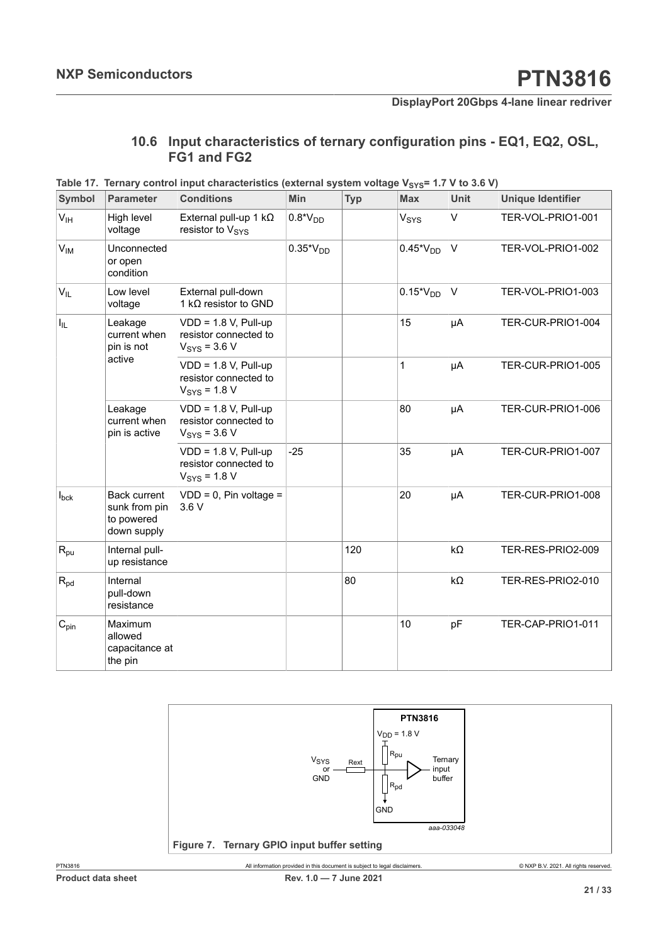## <span id="page-20-2"></span><span id="page-20-0"></span>**10.6 Input characteristics of ternary configuration pins - EQ1, EQ2, OSL, FG1 and FG2**

| Symbol           | <b>Parameter</b>                                                  | <b>Conditions</b>                                                           | Min           | <b>Typ</b> | <b>Max</b>       | <b>Unit</b>        | <b>Unique Identifier</b> |
|------------------|-------------------------------------------------------------------|-----------------------------------------------------------------------------|---------------|------------|------------------|--------------------|--------------------------|
| V <sub>IH</sub>  | High level<br>voltage                                             | External pull-up 1 $k\Omega$<br>resistor to V <sub>SYS</sub>                | $0.8*VDD$     |            | V <sub>SYS</sub> | V                  | TER-VOL-PRIO1-001        |
| $V_{IM}$         | Unconnected<br>or open<br>condition                               |                                                                             | $0.35*V_{DD}$ |            | $0.45*V_{DD}$    | $\vee$             | TER-VOL-PRIO1-002        |
| $V_{IL}$         | Low level<br>voltage                                              | External pull-down<br>1 kΩ resistor to GND                                  |               |            | $0.15*V_{DD}$    | $\vee$             | TER-VOL-PRIO1-003        |
| $I_{IL}$         | Leakage<br>current when<br>pin is not                             | $VDD = 1.8 V, Pull-up$<br>resistor connected to<br>$V_{\rm{SYS}}$ = 3.6 V   |               |            | 15               | μA                 | TER-CUR-PRIO1-004        |
|                  | active                                                            | $VDD = 1.8 V, Pull-up$<br>resistor connected to<br>$V_{\text{SYS}}$ = 1.8 V |               |            | $\mathbf{1}$     | μA                 | TER-CUR-PRIO1-005        |
|                  | Leakage<br>current when<br>pin is active                          | $VDD = 1.8 V, Pull-up$<br>resistor connected to<br>$VSYS = 3.6 V$           |               |            | 80               | μA                 | TER-CUR-PRIO1-006        |
|                  |                                                                   | $VDD = 1.8 V, Pull-up$<br>resistor connected to<br>$V_{\text{SYS}}$ = 1.8 V | $-25$         |            | 35               | μA                 | TER-CUR-PRIO1-007        |
| $I_{\text{bck}}$ | <b>Back current</b><br>sunk from pin<br>to powered<br>down supply | $VDD = 0$ , Pin voltage =<br>3.6V                                           |               |            | 20               | μA                 | TER-CUR-PRIO1-008        |
| $R_{pu}$         | Internal pull-<br>up resistance                                   |                                                                             |               | 120        |                  | kΩ                 | TER-RES-PRIO2-009        |
| $R_{\text{pd}}$  | Internal<br>pull-down<br>resistance                               |                                                                             |               | 80         |                  | $\mathsf{k}\Omega$ | TER-RES-PRIO2-010        |
| $C_{pin}$        | Maximum<br>allowed<br>capacitance at<br>the pin                   |                                                                             |               |            | 10               | pF                 | TER-CAP-PRIO1-011        |

**Table** 17. Ternary control input characteristics (external system voltage V<sub>SYS</sub>= 1.7 V to 3.6 V)

<span id="page-20-1"></span>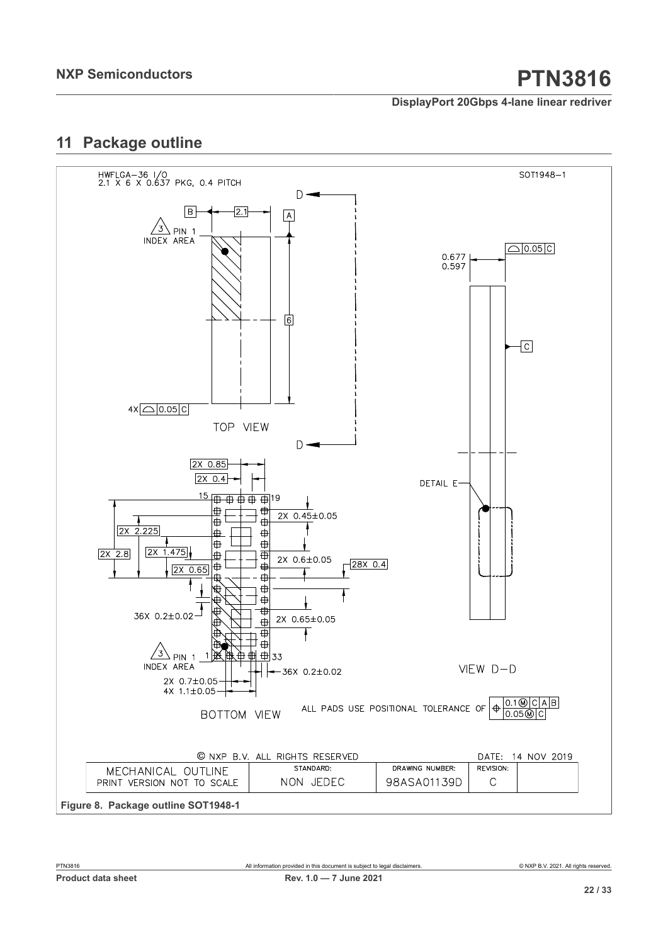## <span id="page-21-1"></span>**11 Package outline**

<span id="page-21-0"></span>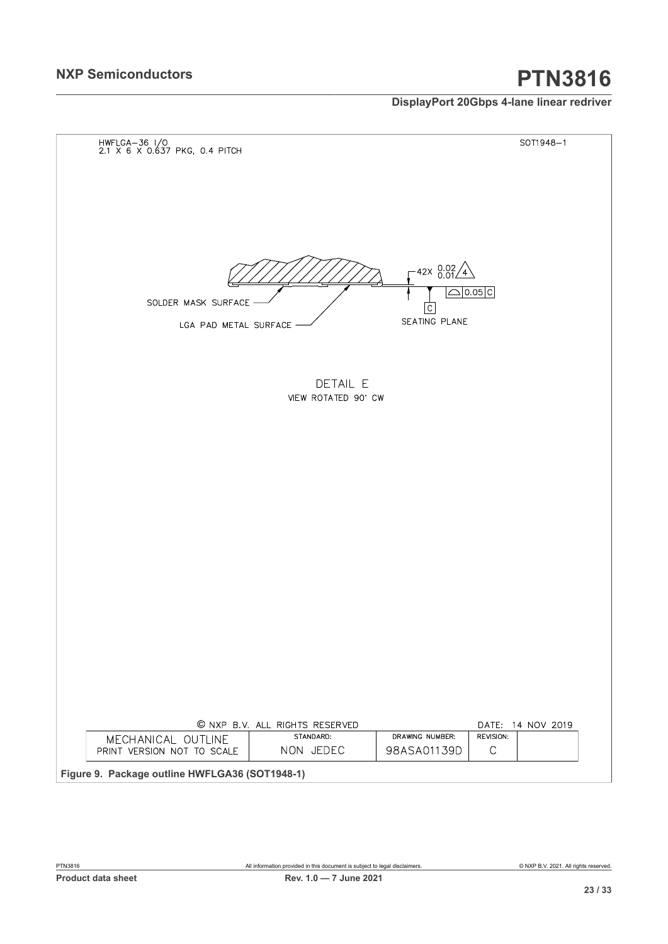# **NXP Semiconductors PTN3816**

## **DisplayPort 20Gbps 4-lane linear redriver**

<span id="page-22-0"></span>

| HWFLGA-36 I/O<br>2.1 X 6 X 0.637 PKG, 0.4 PITCH |                                |                                        | SOT1948-1          |
|-------------------------------------------------|--------------------------------|----------------------------------------|--------------------|
|                                                 |                                |                                        |                    |
|                                                 |                                |                                        |                    |
|                                                 |                                |                                        |                    |
|                                                 |                                |                                        |                    |
|                                                 |                                |                                        |                    |
|                                                 |                                |                                        |                    |
|                                                 |                                |                                        |                    |
|                                                 |                                | $42 \times 0.02$<br>0.01<br>$\sqrt{4}$ |                    |
|                                                 |                                |                                        | $\triangle$ 0.05 C |
| SOLDER MASK SURFACE                             |                                | $\overline{C}$                         |                    |
| LGA PAD METAL SURFACE                           |                                | SEATING PLANE                          |                    |
|                                                 |                                |                                        |                    |
|                                                 |                                |                                        |                    |
|                                                 |                                |                                        |                    |
|                                                 | DETAIL E                       |                                        |                    |
|                                                 | VIEW ROTATED 90' CW            |                                        |                    |
|                                                 |                                |                                        |                    |
|                                                 |                                |                                        |                    |
|                                                 |                                |                                        |                    |
|                                                 |                                |                                        |                    |
|                                                 |                                |                                        |                    |
|                                                 |                                |                                        |                    |
|                                                 |                                |                                        |                    |
|                                                 |                                |                                        |                    |
|                                                 |                                |                                        |                    |
|                                                 |                                |                                        |                    |
|                                                 |                                |                                        |                    |
|                                                 |                                |                                        |                    |
|                                                 |                                |                                        |                    |
|                                                 |                                |                                        |                    |
|                                                 |                                |                                        |                    |
|                                                 |                                |                                        |                    |
|                                                 |                                |                                        |                    |
|                                                 |                                |                                        |                    |
|                                                 |                                |                                        |                    |
|                                                 |                                |                                        |                    |
|                                                 | © NXP B.V. ALL RIGHTS RESERVED |                                        | DATE: 14 NOV 2019  |
| MECHANICAL OUTLINE                              | STANDARD:                      | DRAWING NUMBER:                        | REVISION:          |
| PRINT VERSION NOT TO SCALE                      | NON JEDEC                      | 98ASA01139D                            | $\mathsf C$        |
|                                                 |                                |                                        |                    |
| Figure 9. Package outline HWFLGA36 (SOT1948-1)  |                                |                                        |                    |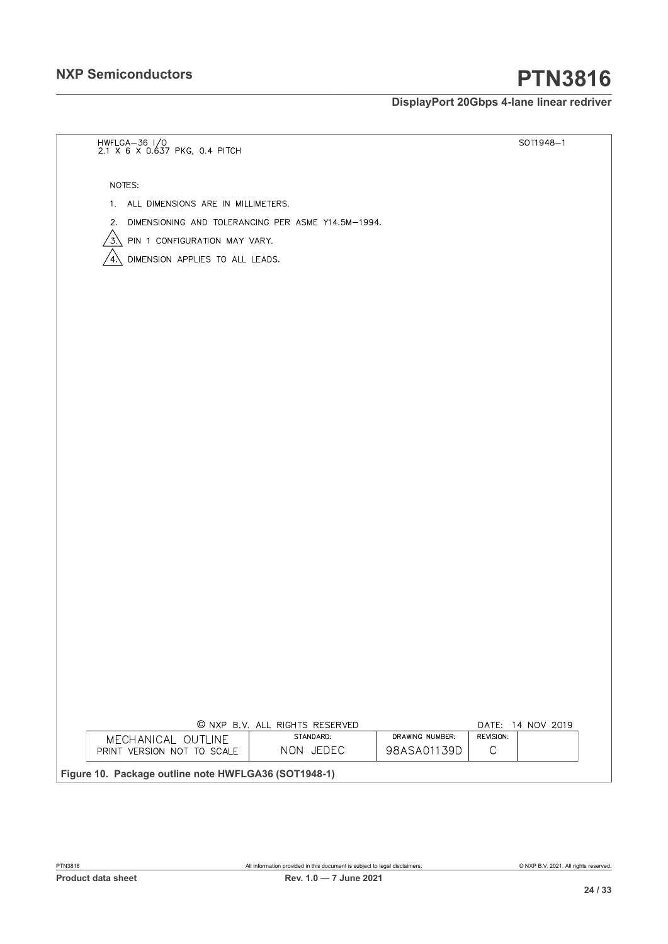# **NXP Semiconductors PTN3816**

## **DisplayPort 20Gbps 4-lane linear redriver**

<span id="page-23-0"></span>

| HWFLGA-36 I/O<br>2.1 X 6 X 0.637 PKG, 0.4 PITCH       |                                                      |                                | SOT1948-1                |
|-------------------------------------------------------|------------------------------------------------------|--------------------------------|--------------------------|
| NOTES:                                                |                                                      |                                |                          |
| 1. ALL DIMENSIONS ARE IN MILLIMETERS.                 |                                                      |                                |                          |
| 2. DIMENSIONING AND TOLERANCING PER ASME Y14.5M-1994. |                                                      |                                |                          |
| $\sqrt{3}$ PIN 1 CONFIGURATION MAY VARY.              |                                                      |                                |                          |
| DIMENSION APPLIES TO ALL LEADS.<br>΄4.                |                                                      |                                |                          |
|                                                       |                                                      |                                |                          |
|                                                       |                                                      |                                |                          |
|                                                       |                                                      |                                |                          |
|                                                       |                                                      |                                |                          |
|                                                       |                                                      |                                |                          |
|                                                       |                                                      |                                |                          |
|                                                       |                                                      |                                |                          |
|                                                       |                                                      |                                |                          |
|                                                       |                                                      |                                |                          |
|                                                       |                                                      |                                |                          |
|                                                       |                                                      |                                |                          |
|                                                       |                                                      |                                |                          |
|                                                       |                                                      |                                |                          |
|                                                       |                                                      |                                |                          |
|                                                       |                                                      |                                |                          |
|                                                       |                                                      |                                |                          |
|                                                       |                                                      |                                |                          |
|                                                       |                                                      |                                |                          |
|                                                       |                                                      |                                |                          |
|                                                       |                                                      |                                |                          |
|                                                       |                                                      |                                |                          |
|                                                       |                                                      |                                |                          |
|                                                       |                                                      |                                |                          |
|                                                       |                                                      |                                |                          |
|                                                       |                                                      |                                |                          |
|                                                       | © NXP B.V. ALL RIGHTS RESERVED<br>STANDARD:          |                                | DATE: 14 NOV 2019        |
| MECHANICAL OUTLINE<br>PRINT VERSION NOT TO SCALE      | NON JEDEC                                            | DRAWING NUMBER:<br>98ASA01139D | REVISION:<br>$\mathsf C$ |
|                                                       | Figure 10. Package outline note HWFLGA36 (SOT1948-1) |                                |                          |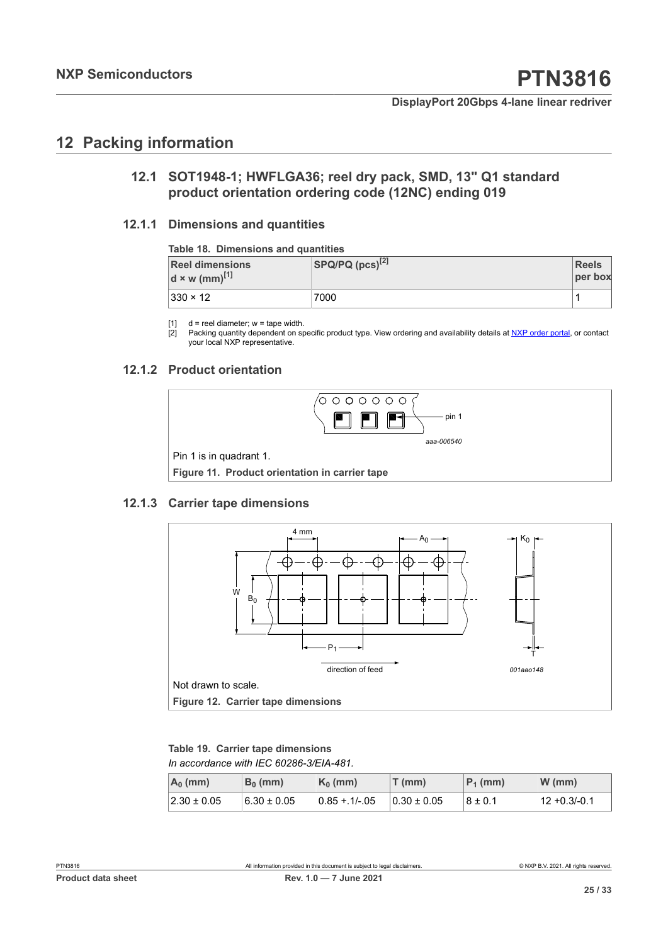## <span id="page-24-6"></span>**12 Packing information**

## <span id="page-24-7"></span><span id="page-24-1"></span><span id="page-24-0"></span>**12.1 SOT1948-1; HWFLGA36; reel dry pack, SMD, 13" Q1 standard product orientation ordering code (12NC) ending 019**

### **12.1.1 Dimensions and quantities**

#### <span id="page-24-8"></span><span id="page-24-2"></span>**Table 18. Dimensions and quantities**

| <b>Reel dimensions</b><br>$d \times w$ (mm) <sup>[1]</sup> | $ $ SPQ/PQ $(pcs)^{[2]}$ | <b>Reels</b><br>per box |
|------------------------------------------------------------|--------------------------|-------------------------|
| $ 330 \times 12 $                                          | 7000                     |                         |

[1]  $d =$  reel diameter;  $w =$  tape width.<br>[2] Packing quantity dependent on sp

Packing quantity dependent on specific product type. View ordering and availability details at [NXP order portal](http://www.nxp.com/order-portal/), or contact your local NXP representative.

#### **12.1.2 Product orientation**

<span id="page-24-9"></span><span id="page-24-4"></span>

### **12.1.3 Carrier tape dimensions**

<span id="page-24-10"></span><span id="page-24-5"></span>

<span id="page-24-3"></span>*In accordance with IEC 60286-3/EIA-481.* **Table 19. Carrier tape dimensions**

| $A_0$ (mm)      | $B_0$ (mm)      | $K_0$ (mm)     | $T$ (mm)        | $P_1$ (mm)  | $W$ (mm)     |
|-----------------|-----------------|----------------|-----------------|-------------|--------------|
| $2.30 \pm 0.05$ | $6.30 \pm 0.05$ | $0.85 + 1/-05$ | $0.30 \pm 0.05$ | $8 \pm 0.1$ | 12 +0.3/-0.1 |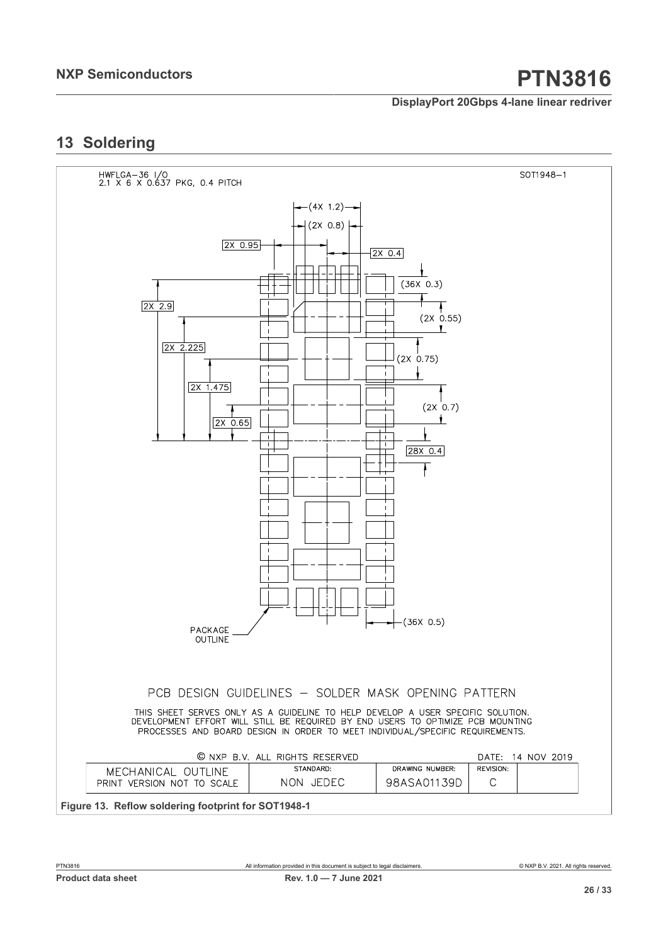## <span id="page-25-1"></span>**13 Soldering**

<span id="page-25-0"></span>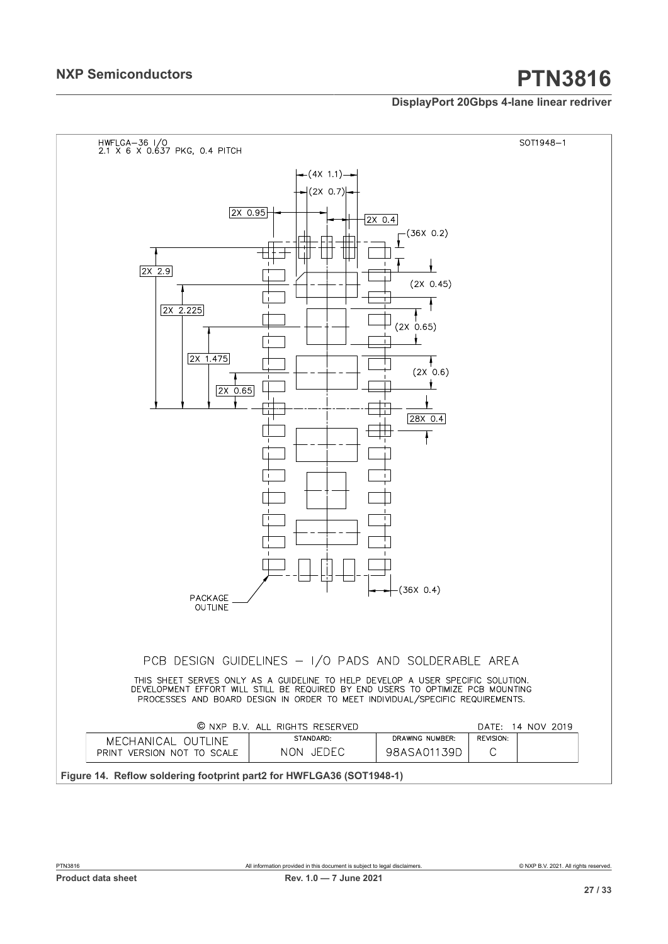<span id="page-26-0"></span>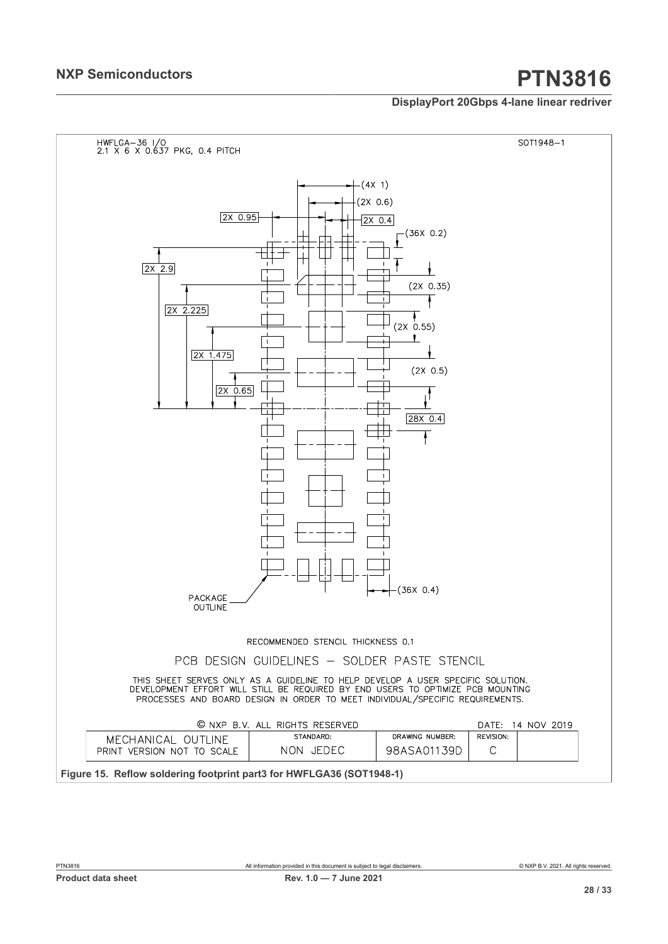<span id="page-27-0"></span>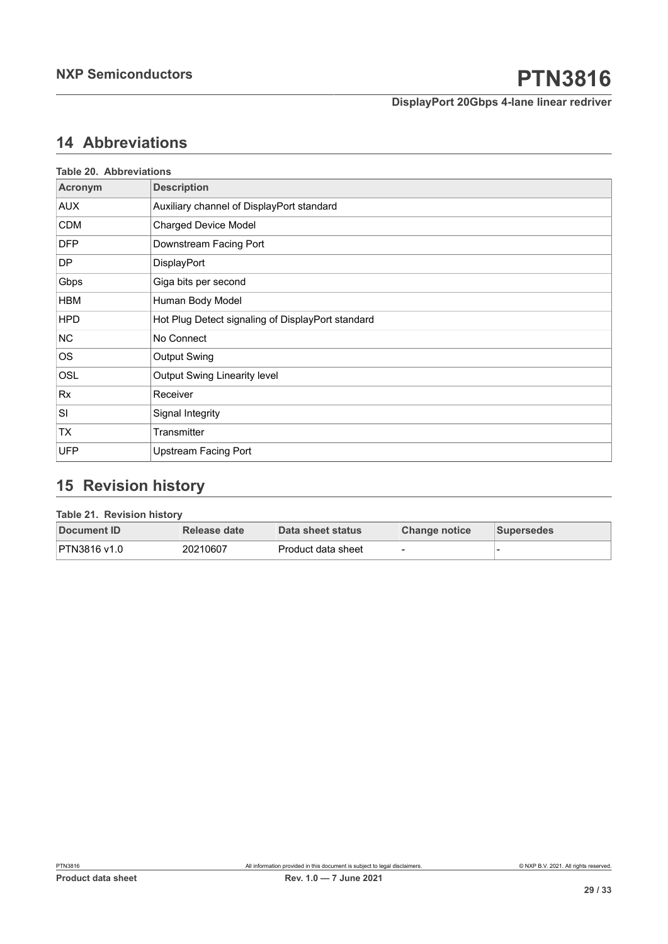## <span id="page-28-2"></span>**14 Abbreviations**

<span id="page-28-0"></span>

|            | <b>Table 20. Abbreviations</b>                    |  |  |  |
|------------|---------------------------------------------------|--|--|--|
| Acronym    | <b>Description</b>                                |  |  |  |
| <b>AUX</b> | Auxiliary channel of DisplayPort standard         |  |  |  |
| <b>CDM</b> | <b>Charged Device Model</b>                       |  |  |  |
| <b>DFP</b> | Downstream Facing Port                            |  |  |  |
| DP         | DisplayPort                                       |  |  |  |
| Gbps       | Giga bits per second                              |  |  |  |
| <b>HBM</b> | Human Body Model                                  |  |  |  |
| <b>HPD</b> | Hot Plug Detect signaling of DisplayPort standard |  |  |  |
| <b>NC</b>  | No Connect                                        |  |  |  |
| <b>OS</b>  | <b>Output Swing</b>                               |  |  |  |
| OSL        | <b>Output Swing Linearity level</b>               |  |  |  |
| Rx         | Receiver                                          |  |  |  |
| SI         | Signal Integrity                                  |  |  |  |
| ТX         | Transmitter                                       |  |  |  |
| <b>UFP</b> | <b>Upstream Facing Port</b>                       |  |  |  |

## <span id="page-28-3"></span>**15 Revision history**

### **Table 21. Revision history**

<span id="page-28-1"></span>

| Document ID  | Release date | Data sheet status   | Change notice | <b>Supersedes</b> |
|--------------|--------------|---------------------|---------------|-------------------|
| PTN3816 v1.0 | 20210607     | ∣Product data sheet |               |                   |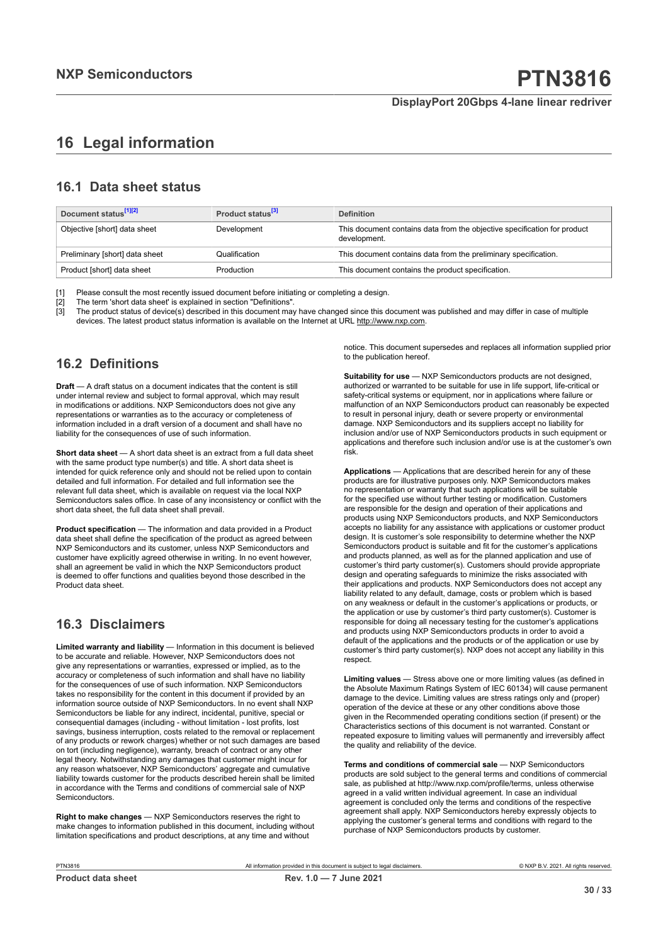## <span id="page-29-0"></span>**16 Legal information**

## **16.1 Data sheet status**

| Document status <sup>[1][2]</sup> | Product status <sup>[3]</sup> | <b>Definition</b>                                                                        |
|-----------------------------------|-------------------------------|------------------------------------------------------------------------------------------|
| Objective [short] data sheet      | Development                   | This document contains data from the objective specification for product<br>development. |
| Preliminary [short] data sheet    | Qualification                 | This document contains data from the preliminary specification.                          |
| Product [short] data sheet        | Production                    | This document contains the product specification.                                        |

[1] Please consult the most recently issued document before initiating or completing a design.<br>[2] The term 'short data sheet' is explained in section "Definitions".

t :<br>[2] The term 'short data sheet' is explained in section "Definitions".<br>[3] The product status of device(s) described in this document may

The product status of device(s) described in this document may have changed since this document was published and may differ in case of multiple devices. The latest product status information is available on the Internet at URL http://www.nxp.com.

## **16.2 Definitions**

**Draft** — A draft status on a document indicates that the content is still under internal review and subject to formal approval, which may result in modifications or additions. NXP Semiconductors does not give any representations or warranties as to the accuracy or completeness of information included in a draft version of a document and shall have no liability for the consequences of use of such information.

**Short data sheet** — A short data sheet is an extract from a full data sheet with the same product type number(s) and title. A short data sheet is intended for quick reference only and should not be relied upon to contain detailed and full information. For detailed and full information see the relevant full data sheet, which is available on request via the local NXP Semiconductors sales office. In case of any inconsistency or conflict with the short data sheet, the full data sheet shall prevail.

**Product specification** — The information and data provided in a Product data sheet shall define the specification of the product as agreed between NXP Semiconductors and its customer, unless NXP Semiconductors and customer have explicitly agreed otherwise in writing. In no event however, shall an agreement be valid in which the NXP Semiconductors product is deemed to offer functions and qualities beyond those described in the Product data sheet.

## **16.3 Disclaimers**

**Limited warranty and liability** — Information in this document is believed to be accurate and reliable. However, NXP Semiconductors does not give any representations or warranties, expressed or implied, as to the accuracy or completeness of such information and shall have no liability for the consequences of use of such information. NXP Semiconductors takes no responsibility for the content in this document if provided by an information source outside of NXP Semiconductors. In no event shall NXP Semiconductors be liable for any indirect, incidental, punitive, special or consequential damages (including - without limitation - lost profits, lost savings, business interruption, costs related to the removal or replacement of any products or rework charges) whether or not such damages are based on tort (including negligence), warranty, breach of contract or any other legal theory. Notwithstanding any damages that customer might incur for any reason whatsoever, NXP Semiconductors' aggregate and cumulative liability towards customer for the products described herein shall be limited in accordance with the Terms and conditions of commercial sale of NXP **Semiconductors** 

**Right to make changes** — NXP Semiconductors reserves the right to make changes to information published in this document, including without limitation specifications and product descriptions, at any time and without

notice. This document supersedes and replaces all information supplied prior to the publication hereof.

**Suitability for use** — NXP Semiconductors products are not designed, authorized or warranted to be suitable for use in life support, life-critical or safety-critical systems or equipment, nor in applications where failure or malfunction of an NXP Semiconductors product can reasonably be expected to result in personal injury, death or severe property or environmental damage. NXP Semiconductors and its suppliers accept no liability for inclusion and/or use of NXP Semiconductors products in such equipment or applications and therefore such inclusion and/or use is at the customer's own risk.

**Applications** — Applications that are described herein for any of these products are for illustrative purposes only. NXP Semiconductors makes no representation or warranty that such applications will be suitable for the specified use without further testing or modification. Customers are responsible for the design and operation of their applications and products using NXP Semiconductors products, and NXP Semiconductors accepts no liability for any assistance with applications or customer product design. It is customer's sole responsibility to determine whether the NXP Semiconductors product is suitable and fit for the customer's applications and products planned, as well as for the planned application and use of customer's third party customer(s). Customers should provide appropriate design and operating safeguards to minimize the risks associated with their applications and products. NXP Semiconductors does not accept any liability related to any default, damage, costs or problem which is based on any weakness or default in the customer's applications or products, or the application or use by customer's third party customer(s). Customer is responsible for doing all necessary testing for the customer's applications and products using NXP Semiconductors products in order to avoid a default of the applications and the products or of the application or use by customer's third party customer(s). NXP does not accept any liability in this respect

**Limiting values** — Stress above one or more limiting values (as defined in the Absolute Maximum Ratings System of IEC 60134) will cause permanent damage to the device. Limiting values are stress ratings only and (proper) operation of the device at these or any other conditions above those given in the Recommended operating conditions section (if present) or the Characteristics sections of this document is not warranted. Constant or repeated exposure to limiting values will permanently and irreversibly affect the quality and reliability of the device.

**Terms and conditions of commercial sale** — NXP Semiconductors products are sold subject to the general terms and conditions of commercial sale, as published at http://www.nxp.com/profile/terms, unless otherwise agreed in a valid written individual agreement. In case an individual agreement is concluded only the terms and conditions of the respective agreement shall apply. NXP Semiconductors hereby expressly objects to applying the customer's general terms and conditions with regard to the purchase of NXP Semiconductors products by customer.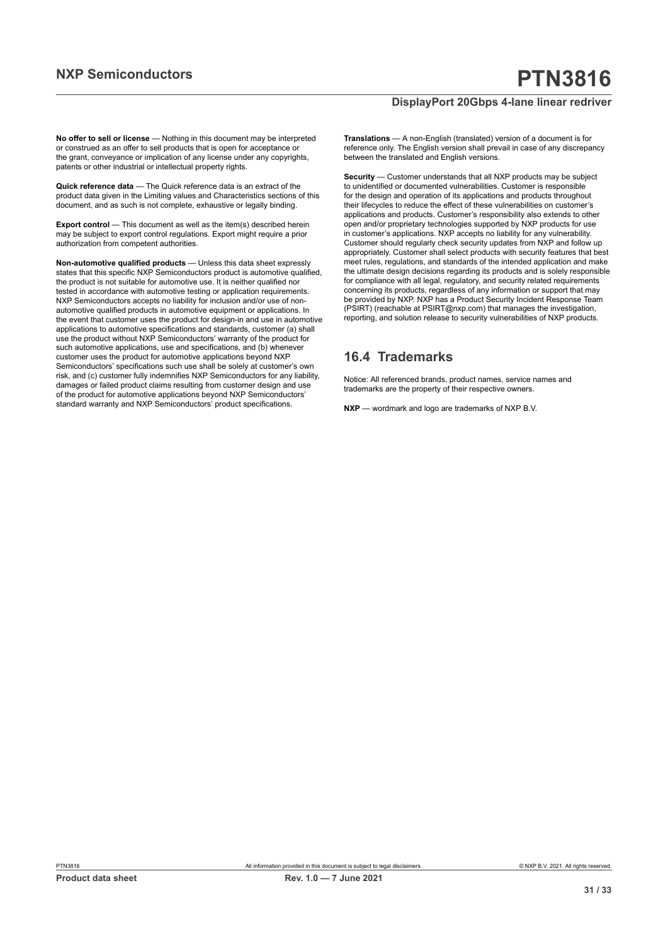**No offer to sell or license** — Nothing in this document may be interpreted or construed as an offer to sell products that is open for acceptance or the grant, conveyance or implication of any license under any copyrights, patents or other industrial or intellectual property rights.

**Quick reference data** — The Quick reference data is an extract of the product data given in the Limiting values and Characteristics sections of this document, and as such is not complete, exhaustive or legally binding.

**Export control** — This document as well as the item(s) described herein may be subject to export control regulations. Export might require a prior authorization from competent authorities.

**Non-automotive qualified products** — Unless this data sheet expressly states that this specific NXP Semiconductors product is automotive qualified, the product is not suitable for automotive use. It is neither qualified nor tested in accordance with automotive testing or application requirements. NXP Semiconductors accepts no liability for inclusion and/or use of nonautomotive qualified products in automotive equipment or applications. In the event that customer uses the product for design-in and use in automotive applications to automotive specifications and standards, customer (a) shall use the product without NXP Semiconductors' warranty of the product for such automotive applications, use and specifications, and (b) whenever customer uses the product for automotive applications beyond NXP Semiconductors' specifications such use shall be solely at customer's own risk, and (c) customer fully indemnifies NXP Semiconductors for any liability, damages or failed product claims resulting from customer design and use of the product for automotive applications beyond NXP Semiconductors' standard warranty and NXP Semiconductors' product specifications.

**Translations** — A non-English (translated) version of a document is for reference only. The English version shall prevail in case of any discrepancy between the translated and English versions.

**Security** — Customer understands that all NXP products may be subject to unidentified or documented vulnerabilities. Customer is responsible for the design and operation of its applications and products throughout their lifecycles to reduce the effect of these vulnerabilities on customer's applications and products. Customer's responsibility also extends to other open and/or proprietary technologies supported by NXP products for use in customer's applications. NXP accepts no liability for any vulnerability. Customer should regularly check security updates from NXP and follow up appropriately. Customer shall select products with security features that best meet rules, regulations, and standards of the intended application and make the ultimate design decisions regarding its products and is solely responsible for compliance with all legal, regulatory, and security related requirements concerning its products, regardless of any information or support that may be provided by NXP. NXP has a Product Security Incident Response Team (PSIRT) (reachable at PSIRT@nxp.com) that manages the investigation, reporting, and solution release to security vulnerabilities of NXP products.

## **16.4 Trademarks**

Notice: All referenced brands, product names, service names and trademarks are the property of their respective owners.

**NXP** — wordmark and logo are trademarks of NXP B.V.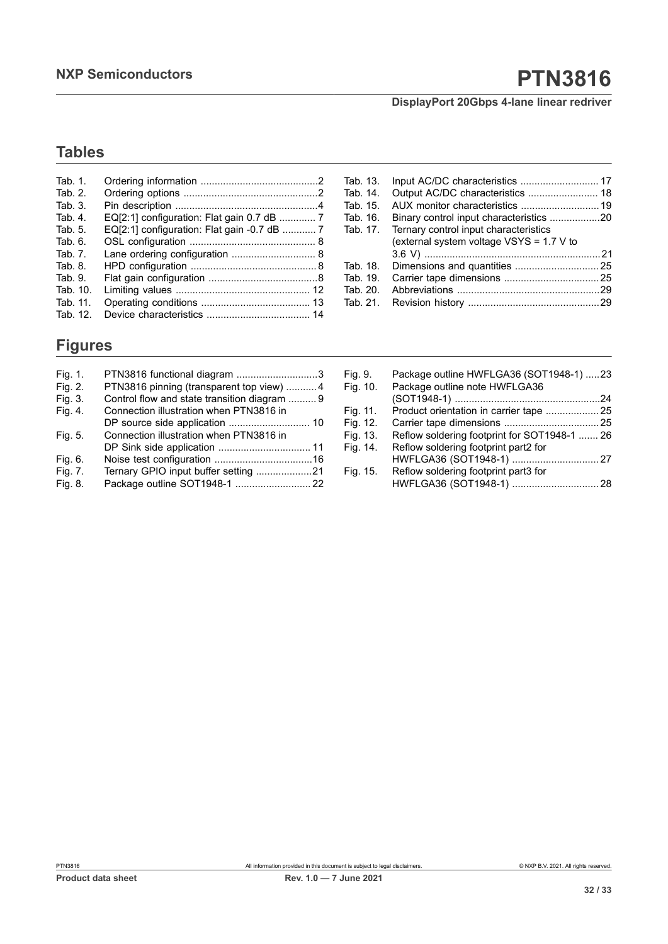# **NXP Semiconductors PTN3816**

## **DisplayPort 20Gbps 4-lane linear redriver**

## **Tables**

| Tab. 1.    |                                             |
|------------|---------------------------------------------|
| Tab. 2.    |                                             |
| Tab. 3.    |                                             |
| Tab. 4.    |                                             |
| Tab. 5.    | EQ[2:1] configuration: Flat gain -0.7 dB  7 |
| Tab. 6.    |                                             |
| Tab. 7.    | Lane ordering configuration  8              |
| Tab. $8$ . |                                             |
| Tab. 9.    |                                             |
| Tab. 10.   |                                             |
| Tab. 11.   |                                             |
| Tab. 12.   |                                             |

## **Figures**

| Fig. 1. | PTN3816 functional diagram 3                 |  |
|---------|----------------------------------------------|--|
| Fig. 2. | PTN3816 pinning (transparent top view)  4    |  |
| Fig. 3. | Control flow and state transition diagram  9 |  |
| Fig. 4. | Connection illustration when PTN3816 in      |  |
|         |                                              |  |
| Fig. 5. | Connection illustration when PTN3816 in      |  |
|         |                                              |  |
| Fig. 6. |                                              |  |
| Fig. 7. | Ternary GPIO input buffer setting 21         |  |
| Fig. 8. |                                              |  |

| Tab. 13. |                                          |  |
|----------|------------------------------------------|--|
| Tab. 14. |                                          |  |
| Tab. 15. | AUX monitor characteristics  19          |  |
| Tab. 16. |                                          |  |
| Tab. 17. | Ternary control input characteristics    |  |
|          | (external system voltage VSYS = 1.7 V to |  |
|          |                                          |  |
| Tab. 18. |                                          |  |
| Tab. 19. |                                          |  |
| Tab. 20. |                                          |  |
| Tab. 21. |                                          |  |
|          |                                          |  |

| Fig. 9.<br>Fig. 10. | Package outline HWFLGA36 (SOT1948-1) 23<br>Package outline note HWFLGA36 |  |
|---------------------|--------------------------------------------------------------------------|--|
|                     |                                                                          |  |
| Fig. 11.            | Product orientation in carrier tape  25                                  |  |
| Fig. 12.            |                                                                          |  |
| Fig. 13.            | Reflow soldering footprint for SOT1948-1  26                             |  |
| Fig. 14.            | Reflow soldering footprint part2 for                                     |  |
|                     |                                                                          |  |
| Fig. 15.            | Reflow soldering footprint part3 for                                     |  |
|                     |                                                                          |  |
|                     |                                                                          |  |